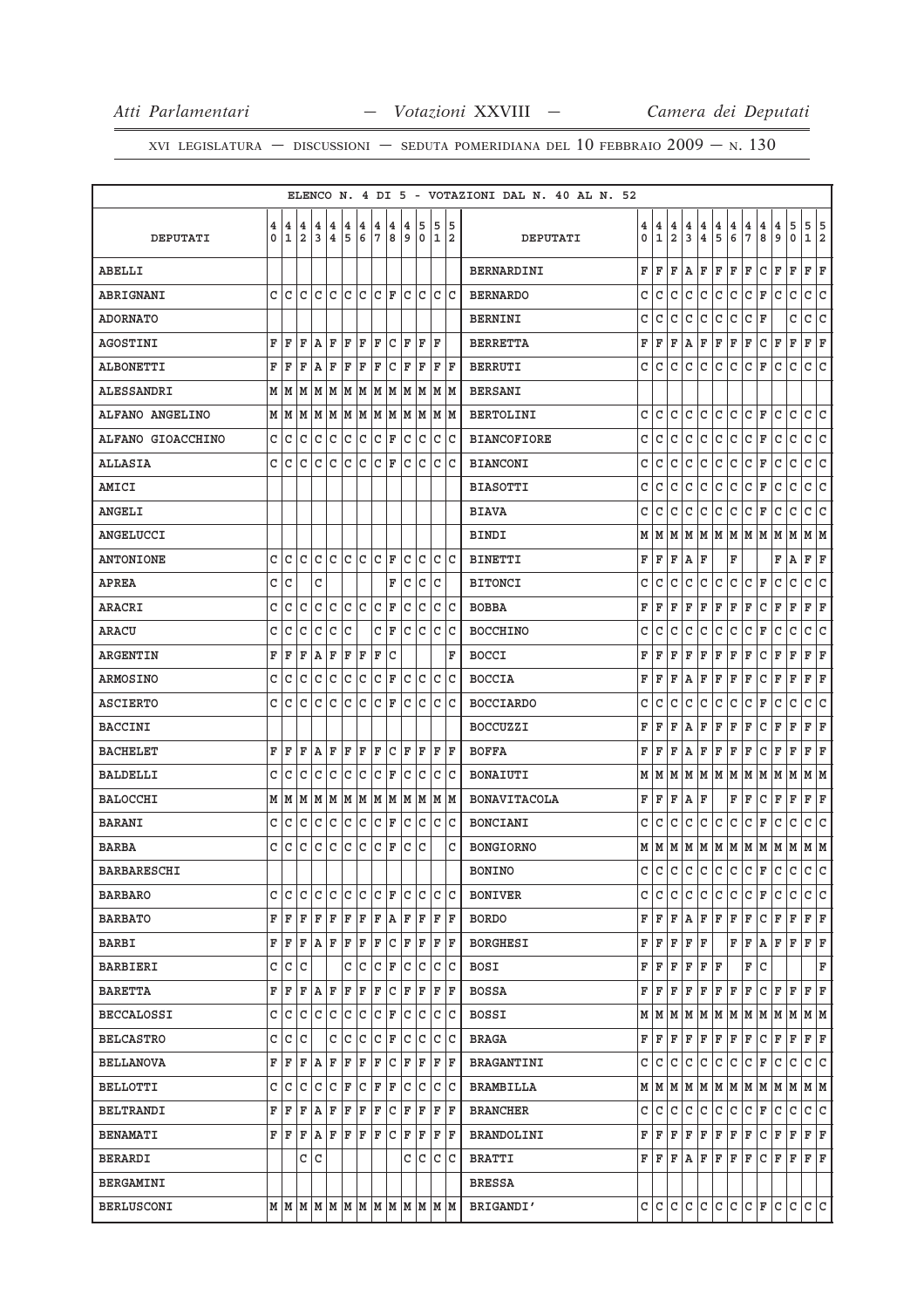|                    |   |                |                         |                |                         |                |     |     |                                                                             |              |             |       |    | ELENCO N. 4 DI 5 - VOTAZIONI DAL N. 40 AL N. 52 |              |                                       |               |                         |                         |               |                                       |                                       |                                       |                                       |                                                                       |                                       |                                       |
|--------------------|---|----------------|-------------------------|----------------|-------------------------|----------------|-----|-----|-----------------------------------------------------------------------------|--------------|-------------|-------|----|-------------------------------------------------|--------------|---------------------------------------|---------------|-------------------------|-------------------------|---------------|---------------------------------------|---------------------------------------|---------------------------------------|---------------------------------------|-----------------------------------------------------------------------|---------------------------------------|---------------------------------------|
|                    | 4 | $\overline{4}$ | $\overline{\mathbf{4}}$ | $\overline{4}$ | $\overline{\bf 4}$      | $\binom{4}{1}$ | 4   | 4   | 4                                                                           | 4            | 5           | 5 5   |    |                                                 | 4            | $\begin{array}{c} 4 \\ 1 \end{array}$ | 4             | $\overline{\mathbf{4}}$ | $\overline{\mathbf{4}}$ | $\frac{4}{5}$ | $\begin{array}{c} 4 \\ 6 \end{array}$ | $\begin{array}{c} 4 \\ 7 \end{array}$ | $\begin{array}{c} 4 \\ 8 \end{array}$ | $\begin{array}{c} 4 \\ 9 \end{array}$ | $\begin{array}{c} 5 \\ 0 \end{array}$                                 | $\begin{array}{c} 5 \\ 1 \end{array}$ | $\begin{array}{c} 5 \\ 2 \end{array}$ |
| DEPUTATI           | 0 |                | 12                      | 3              | $\overline{\mathbf{4}}$ | 5              | 6 ا | 7   | l 8                                                                         | و            |             | 0 1 2 |    | DEPUTATI                                        | 0            |                                       | 2             | $\overline{3}$          | 4                       |               |                                       |                                       |                                       |                                       |                                                                       |                                       |                                       |
| ABELLI             |   |                |                         |                |                         |                |     |     |                                                                             |              |             |       |    | <b>BERNARDINI</b>                               | F            | F                                     | F             | Α                       | F                       | F             | F                                     | F                                     | С                                     | F                                     | F                                                                     | F                                     | F                                     |
| ABRIGNANI          |   | c Ic           | C                       | l C            | l c                     | lc.            | lc. |     | C  F                                                                        |              | lc Ic       | c c   |    | <b>BERNARDO</b>                                 | C            | lc.                                   | $\mathtt{C}$  | $\mathtt{C}$            | lc.                     | $\mathtt{C}$  | lc.                                   | c                                     | F                                     | C                                     | C                                                                     | C                                     | $\overline{\mathsf{C}}$               |
| <b>ADORNATO</b>    |   |                |                         |                |                         |                |     |     |                                                                             |              |             |       |    | <b>BERNINI</b>                                  | C            | C                                     | C             | C                       | C                       | $\mathtt{C}$  | c                                     | $\mathtt{C}$                          | F                                     |                                       | C                                                                     | C                                     | c                                     |
| <b>AGOSTINI</b>    | F | ΙF             | F                       | AF             |                         | F              | ΙF  | F   | c                                                                           | ΙF           | ΙF          | ΙF    |    | <b>BERRETTA</b>                                 | F            | F                                     | F             | Α                       | F                       | $\mathbf F$   | F                                     | F                                     | c                                     | F                                     | $\mathbf F$                                                           | F                                     | $\mathbb F$                           |
| <b>ALBONETTI</b>   | F | ΙF             | ΙF                      | AF             |                         | F              | ΙF  | ΙF  | C F                                                                         |              | ΙF          | F   F |    | <b>BERRUTI</b>                                  | C            | C                                     | C             | C                       | C                       | C             | C                                     | C                                     | F                                     | C                                     | C                                                                     | С                                     | lc.                                   |
| ALESSANDRI         |   | MM             |                         |                |                         |                |     |     |                                                                             |              |             |       |    | <b>BERSANI</b>                                  |              |                                       |               |                         |                         |               |                                       |                                       |                                       |                                       |                                                                       |                                       |                                       |
| ALFANO ANGELINO    |   |                |                         |                |                         |                |     |     | $M$   $M$   $M$   $M$   $M$   $M$   $M$   $M$   $M$   $M$   $M$   $M$       |              |             |       |    | BERTOLINI                                       | C            | l C                                   | C             | $\mathtt{C}$            | lc.                     | $\mathsf{C}$  | lc.                                   | lc.                                   | F                                     | C                                     | $\mathtt{C}$                                                          | lc.                                   | c                                     |
| ALFANO GIOACCHINO  |   | C C            | С                       | $\overline{C}$ | lc.                     | c              | c   |     | $ C $ F                                                                     | lc.          | lc.         | c  c  |    | <b>BIANCOFIORE</b>                              | C            | C                                     | C             | $\mathtt{C}$            | C                       | $\mathtt{C}$  | lc.                                   | c                                     | F                                     | C                                     | C                                                                     | C                                     | C                                     |
| <b>ALLASIA</b>     |   | c Ic           | C                       | lc.            |                         | $ c c c c _F$  |     |     |                                                                             |              | lc Ic       | c c   |    | <b>BIANCONI</b>                                 | C            | lc.                                   | $\mathtt{C}$  | $\mathtt{C}$            | C                       | $\mathtt{C}$  | c                                     | c                                     | F                                     | C                                     | $\mathtt{C}$                                                          | $\mathtt{C}$                          | $\overline{\mathsf{C}}$               |
| AMICI              |   |                |                         |                |                         |                |     |     |                                                                             |              |             |       |    | <b>BIASOTTI</b>                                 | C            | C                                     | C             | $\mathtt{C}$            | $\mathtt{C}$            | $\mathtt{C}$  | c                                     | c                                     | $\mathbb F$                           | C                                     | C                                                                     | $\mathtt{C}$                          | $\overline{\mathsf{c}}$               |
| <b>ANGELI</b>      |   |                |                         |                |                         |                |     |     |                                                                             |              |             |       |    | <b>BIAVA</b>                                    | C            | C                                     | C             | C                       | lc.                     | $\mathtt{C}$  | lc.                                   | l c                                   | F                                     | C                                     | C                                                                     | C                                     | C                                     |
| ANGELUCCI          |   |                |                         |                |                         |                |     |     |                                                                             |              |             |       |    | <b>BINDI</b>                                    | М            | lм                                    | M             | M                       |                         |               | M M M M M                             |                                       |                                       | M                                     | M                                                                     | M  M                                  |                                       |
| ANTONIONE          |   | c Ic           | C                       |                |                         |                |     |     |                                                                             | C            | lc.         | lc Ic |    | <b>BINETTI</b>                                  | F            | F                                     | F             | Α                       | F                       |               | F                                     |                                       |                                       | F                                     | Α                                                                     | F                                     | F                                     |
| <b>APREA</b>       |   | c c            |                         | C              |                         |                |     |     | F                                                                           |              | c c         | lc    |    | <b>BITONCI</b>                                  | C            | C                                     | $\mathtt{C}$  | C                       | lc.                     | C             | lc.                                   | c                                     | F                                     | C                                     | C                                                                     | C                                     | $\overline{\mathsf{C}}$               |
| ARACRI             | C | C              | C                       | C              | lc.                     | lc.            | lc. | lc. | F                                                                           | $\mathtt{C}$ | lc.         | C     | lc | <b>BOBBA</b>                                    | F            | F                                     | F             | F                       | F                       | F             | F                                     | F                                     | C                                     | F                                     | F                                                                     | F                                     | F                                     |
| ARACU              | C | lc             | C                       | c              | $\mathtt{C}$            | c              |     |     | C F                                                                         |              | c c c c     |       |    | <b>BOCCHINO</b>                                 | C            | C                                     | $\mathtt{C}$  | $\mathtt{C}$            | $\mathtt{C}$            | $\mathtt{C}$  | c                                     | $\mathtt{C}$                          | F                                     | C                                     | C                                                                     | $\mathtt{C}$                          | $\overline{\mathsf{C}}$               |
| <b>ARGENTIN</b>    | F | ١F             | F                       | $A$ $F$        |                         | ΙF             | F   | F   | c                                                                           |              |             |       | F  | <b>BOCCI</b>                                    | F            | F                                     | F             | F                       | F                       | $\mathbf F$   | F                                     | F                                     | C                                     | F                                     | F                                                                     | F                                     | F                                     |
| <b>ARMOSINO</b>    |   | c c            | $\mathtt{C}$            |                | c c                     | c c            |     |     | $ c _F$                                                                     |              | lc lc lc lc |       |    | <b>BOCCIA</b>                                   | F            | F                                     | F             | Α                       | F                       | $\mathbf F$   | F                                     | F                                     | С                                     | F                                     | F                                                                     | F                                     | F                                     |
| <b>ASCIERTO</b>    |   | c c            |                         |                | c c c c c c F           |                |     |     |                                                                             |              | c c c c     |       |    | <b>BOCCIARDO</b>                                | C            | C                                     | C             | $\mathtt{C}$            | C                       | $\mathtt{C}$  | lc.                                   | $\mathtt{C}$                          | F                                     | C                                     | C                                                                     | C                                     | c                                     |
| <b>BACCINI</b>     |   |                |                         |                |                         |                |     |     |                                                                             |              |             |       |    | <b>BOCCUZZI</b>                                 | F            | F                                     | F             | Α                       | F                       | F             | F                                     | F                                     | С                                     | F                                     | F                                                                     | F                                     | F                                     |
| <b>BACHELET</b>    | F | F              | F                       | AF             |                         | F F            |     |     | F C F F                                                                     |              |             | F F   |    | <b>BOFFA</b>                                    | F            | F                                     | F             | Α                       | F                       | F             | F                                     | F                                     | С                                     | F                                     | F                                                                     | F                                     | F                                     |
| <b>BALDELLI</b>    | C | l C            | C                       | lc.            | lc.                     | lc.            | lc. |     | C F                                                                         | lc.          | lc.         | c c   |    | BONAIUTI                                        | М            | lм                                    | M             | М                       | MMM                     |               |                                       | M                                     | lм                                    | lм                                    | M                                                                     | MM                                    |                                       |
| <b>BALOCCHI</b>    |   |                |                         |                |                         |                |     |     | $M$   $M$   $M$   $M$   $M$   $M$   $M$   $M$   $M$   $M$   $M$   $M$   $M$ |              |             |       |    | <b>BONAVITACOLA</b>                             | F            | F                                     | F             | $\mathtt A$             | F                       |               | F                                     | F                                     | $\mathtt{C}$                          | F                                     | $\mathbf F$                                                           | F                                     | F                                     |
| BARANI             | C | lc             | C                       |                | c c                     | c c            |     |     | $ c _{\mathbb{F}}$                                                          |              | c c c c     |       |    | <b>BONCIANI</b>                                 | C            | C                                     | $\mathtt{C}$  | $\mathtt{C}$            | C                       | $\mathtt{C}$  | c                                     | c                                     | F                                     | c                                     | $\mathtt{C}$                                                          | $\mathtt{C}$                          | $\overline{\mathsf{c}}$               |
| <b>BARBA</b>       |   | c Ic           | C                       | lc             | C                       | lc.            | lc. |     | $ c _F$                                                                     | C            | ١c          |       | С  | <b>BONGIORNO</b>                                |              | MM                                    | lм            |                         |                         |               |                                       |                                       |                                       |                                       | M   M   M   M   M   M   M   M   M                                     |                                       |                                       |
| <b>BARBARESCHI</b> |   |                |                         |                |                         |                |     |     |                                                                             |              |             |       |    | <b>BONINO</b>                                   | $\mathbf{C}$ | $\mathsf{C}$                          | $\mathsf{C}$  |                         | c lc l                  |               | $ {\rm c}\, {\rm c}\, $               |                                       | $ c _F c$                             |                                       | $\mathcal{C}$                                                         | c l                                   | $\overline{c}$                        |
| <b>BARBARO</b>     |   |                |                         |                |                         |                |     |     |                                                                             |              |             |       |    | <b>BONIVER</b>                                  | c            | C                                     | C             | С                       | C                       | С             | lC.                                   | С                                     | F                                     | С                                     | С                                                                     | $\mathsf{C}$                          | С                                     |
| BARBATO            |   |                |                         |                |                         |                |     |     | F F F F F F F F A F F F F F                                                 |              |             |       |    | BORDO                                           | F            | F                                     | F             | A                       | F                       | F             | F                                     | F                                     | C                                     | F                                     | F                                                                     | F F                                   |                                       |
| BARBI              |   |                |                         |                |                         |                |     |     | F F F A F F F F C F F F F F                                                 |              |             |       |    | BORGHESI                                        | F            | F                                     | F             | F                       | F                       |               | F                                     | F                                     |                                       | A   F   F                             |                                                                       | F F                                   |                                       |
| BARBIERI           |   |                | c c c                   |                |                         |                |     |     |                                                                             |              |             |       |    | BOSI                                            | F            | F                                     | F             | F                       | F F                     |               |                                       | $\mathbf F$                           | С                                     |                                       |                                                                       |                                       | F                                     |
| BARETTA            |   |                |                         |                |                         |                |     |     | F F F A F F F F C F F F F F                                                 |              |             |       |    | BOSSA                                           | F            | F                                     | F             | F                       | F                       | F F           |                                       | F                                     | C F                                   |                                       | F                                                                     | F F                                   |                                       |
| <b>BECCALOSSI</b>  |   |                |                         |                |                         |                |     |     | cicicicicicicici ricicicic                                                  |              |             |       |    | BOSSI                                           |              |                                       | M   M   M   M |                         |                         |               | $M$ $M$ $M$ $M$                       |                                       | MM                                    |                                       | $M$ $M$ $M$                                                           |                                       |                                       |
| <b>BELCASTRO</b>   |   |                | C C C                   |                |                         |                |     |     | $C C C C F C C C C C$                                                       |              |             |       |    | BRAGA                                           |              | $F \mid F$                            | F             | F.                      | F                       |               | F F F                                 |                                       |                                       | C F F                                 |                                                                       | F F                                   |                                       |
| BELLANOVA          |   |                |                         |                |                         |                |     |     | F F F A F F F F C F F F F F                                                 |              |             |       |    | BRAGANTINI                                      | c            | l C                                   | C             | С                       | C                       | C             | lc.                                   | с                                     | F                                     | C                                     | C                                                                     | C C                                   |                                       |
| BELLOTTI           |   |                | C C C                   |                |                         |                |     |     | C C F C F F C C                                                             |              |             | c c   |    | BRAMBILLA                                       |              |                                       |               |                         |                         |               |                                       |                                       |                                       |                                       | $M$   $M$   $M$   $M$   $M$   $M$   $M$   $M$   $M$   $M$   $M$   $M$ |                                       |                                       |
| BELTRANDI          |   |                |                         |                |                         |                |     |     | F F F A F F F F C F F F F F                                                 |              |             |       |    | <b>BRANCHER</b>                                 | C            | C                                     | C             | C                       | l C                     | C             | lc.                                   | c                                     | F                                     | lc.                                   | C                                                                     | c c                                   |                                       |
| <b>BENAMATI</b>    |   |                |                         |                |                         |                |     |     | F F F A F F F F C F F F F F F                                               |              |             |       |    | BRANDOLINI                                      |              | F F                                   | F             | F                       | F F                     |               | F F                                   |                                       | $ {\tt C}\, {\tt F} $                 |                                       | F                                                                     | F F                                   |                                       |
| BERARDI            |   |                |                         | C C            |                         |                |     |     |                                                                             |              | CCCCC       |       |    | BRATTI                                          |              |                                       |               | F F F A F               |                         |               | F F F                                 |                                       |                                       | C F F                                 |                                                                       | F F                                   |                                       |
| BERGAMINI          |   |                |                         |                |                         |                |     |     |                                                                             |              |             |       |    | BRESSA                                          |              |                                       |               |                         |                         |               |                                       |                                       |                                       |                                       |                                                                       |                                       |                                       |
| <b>BERLUSCONI</b>  |   |                |                         |                |                         |                |     |     |                                                                             |              |             |       |    | M M M M M M M M M M M M M  BRIGANDI'            |              |                                       |               |                         |                         |               |                                       |                                       |                                       |                                       |                                                                       |                                       |                                       |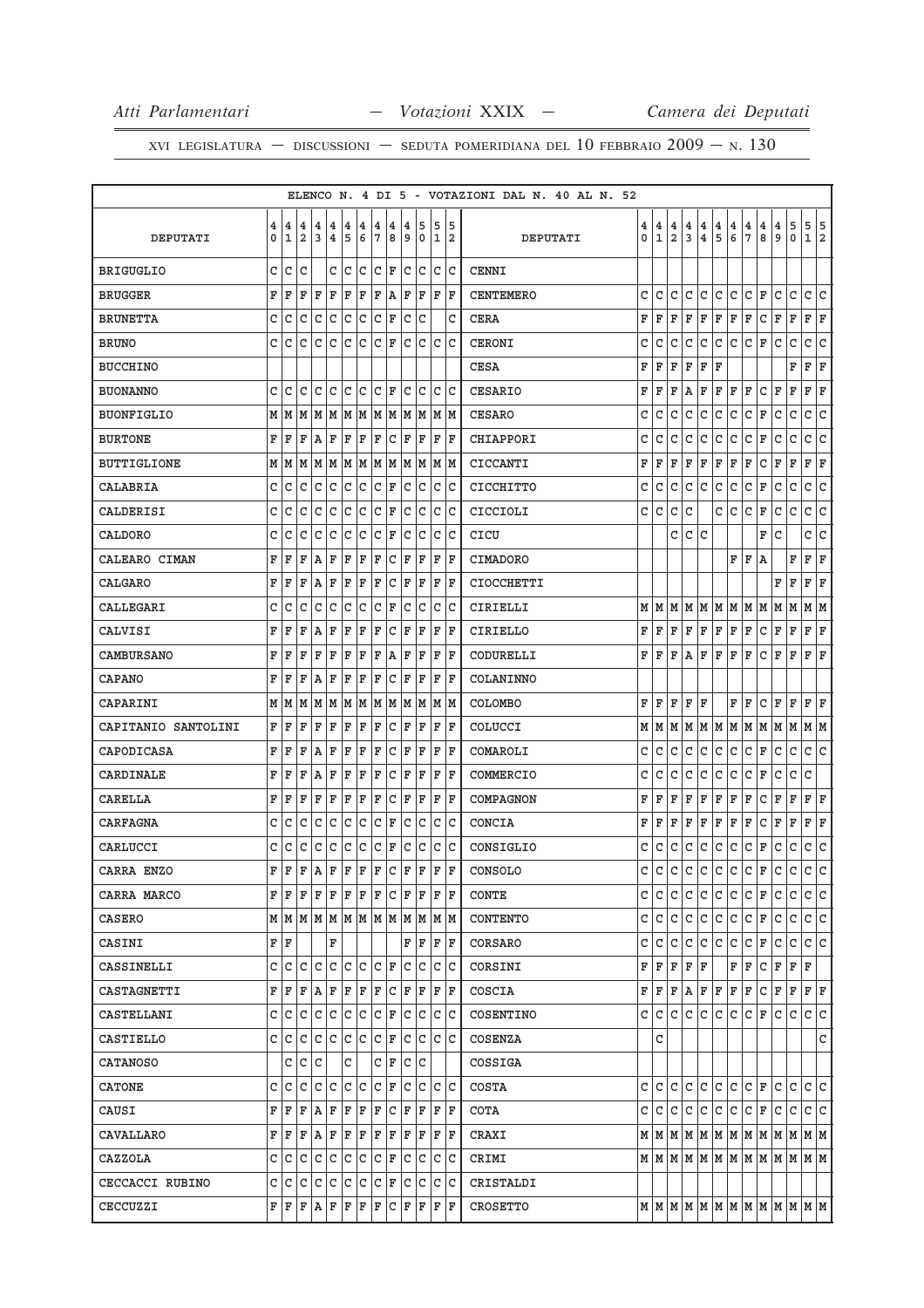|                     |        |                   |                     |                                                                 |                         |        |             |        |        |              |        |        |         |                   | ELENCO N. 4 DI 5 - VOTAZIONI DAL N. 40 AL N. 52 |                  |                     |                     |        |                              |                       |               |                     |              |              |                                                                             |                     |           |
|---------------------|--------|-------------------|---------------------|-----------------------------------------------------------------|-------------------------|--------|-------------|--------|--------|--------------|--------|--------|---------|-------------------|-------------------------------------------------|------------------|---------------------|---------------------|--------|------------------------------|-----------------------|---------------|---------------------|--------------|--------------|-----------------------------------------------------------------------------|---------------------|-----------|
| DEPUTATI            | 4<br>0 | 4<br>$\mathbf{1}$ | 4<br>$\overline{a}$ | 4<br>3                                                          | 4<br>$\overline{\bf 4}$ | 4<br>5 | 4<br>6      | 4<br>7 | 4<br>8 | 4<br>9       | 5<br>0 | 5<br>1 | 5<br>12 |                   | DEPUTATI                                        | 4<br>$\mathbf 0$ | 4<br>$\mathbf{1}$   | 4<br>$\overline{2}$ | 4<br>3 | 4<br>$\overline{\mathbf{4}}$ | 4<br>5                | $\frac{4}{6}$ | 4<br>$\overline{7}$ | 4<br>8       | 4<br>9       | 5<br>0                                                                      | 5 5<br>$\mathbf{1}$ | $\vert$ 2 |
| <b>BRIGUGLIO</b>    | C      | C                 | C                   |                                                                 | C                       | lc     | C           | C      | ΙF     | C            | lc     | C      | Iс      | <b>CENNI</b>      |                                                 |                  |                     |                     |        |                              |                       |               |                     |              |              |                                                                             |                     |           |
| <b>BRUGGER</b>      | F      | F                 | F                   | ΙF                                                              | $\mathbf F$             | ΙF     | F           | F      | A      | F            | F      | ΙF     | ΙF      | <b>CENTEMERO</b>  |                                                 | c                | C                   | c                   | C      | c                            | C                     | C             | c                   | F            | c            | C                                                                           | c                   | C         |
| <b>BRUNETTA</b>     | C      | C                 | C                   | C                                                               | C                       | C      | C           | C      | ΙF     | C            | C      |        | C       | <b>CERA</b>       |                                                 | F                | F                   | F                   | F      | F                            | F                     | ΙF            | F                   | С            | F            | F                                                                           | F                   | F         |
| <b>BRUNO</b>        | C      | C                 | C                   | C                                                               | C                       | C      | C           | C      | F      | C            | C      | lc.    | lc.     | CERONI            |                                                 | С                | С                   | C                   | C      | C                            | С                     | C             | C                   | F            | C            | C                                                                           | $\mathtt{C}$        | C         |
| <b>BUCCHINO</b>     |        |                   |                     |                                                                 |                         |        |             |        |        |              |        |        |         | <b>CESA</b>       |                                                 | F                | F                   | F                   | F      | F                            | F                     |               |                     |              |              | F                                                                           | F                   | F         |
| <b>BUONANNO</b>     | C      | C                 | C                   | C                                                               | C                       | C      | C           | C      | ΙF     | C            | C      | C      | lc      | <b>CESARIO</b>    |                                                 | F                | ΙF                  | F                   | A      | F                            | F                     | F             | F                   | C            | F            | F                                                                           | F                   | F         |
| <b>BUONFIGLIO</b>   | М      | M                 | M                   | M                                                               | lм                      | M      | M           | M      | M      | M            | M      | M      | lМ      | <b>CESARO</b>     |                                                 | C                | C                   | C                   | C      | $\mathtt{C}$                 | $\mathtt{C}$          | C             | $\mathtt{C}$        | F            | C            | C                                                                           | $\mathtt{C}$        | C         |
| <b>BURTONE</b>      | F      | F                 | F                   | ١A                                                              | F                       | F      | F           | F      | C      | ΙF           | ΙF     | F      | ΙF      | CHIAPPORI         |                                                 | С                | C                   | C                   | C      | C                            | С                     | C             | С                   | F            | C            | C                                                                           | С                   | C         |
| <b>BUTTIGLIONE</b>  |        | MM                | M                   | MM                                                              |                         | M M    |             | M M    |        | M            | lМ     |        | M M     | CICCANTI          |                                                 | F                | F                   | F                   | F      | F                            | F                     | F             | F                   | С            | F            | F                                                                           | F                   | F         |
| CALABRIA            | C      | C                 | C                   | C                                                               | C                       | C      | C           | c      | ΙF     | C            | C      | C      | lc      | CICCHITTO         |                                                 | C                | C                   | C                   | С      | C                            | С                     | C             | C                   | F            | C            | C                                                                           | C                   | C         |
| CALDERISI           | C      | C                 | C                   | C                                                               | C                       | C      | C           | C      | F      | C            | c      | C      | lc      | CICCIOLI          |                                                 | С                | С                   | С                   | C      |                              | c                     | C             | С                   | F            | C            | C                                                                           | с                   | c         |
| CALDORO             | C      | C                 | C                   | C                                                               | C                       | C      | C           | C      | F      | C            | C      | C      | lc      | CICU              |                                                 |                  |                     | C                   | C      | C                            |                       |               |                     | F            | C            |                                                                             | C                   | C         |
| CALEARO CIMAN       | F      | F                 | F                   | ١A                                                              | F                       | ΙF     | F           | F      | C      | F            | ΙF     | F      | F       | CIMADORO          |                                                 |                  |                     |                     |        |                              |                       | F             | ΙF                  | A            |              | F                                                                           | F                   | F         |
| CALGARO             | F      | F                 | F                   | A                                                               | F                       | F      | F           | F      | C      | F            | ΙF     | F      | ΙF      | <b>CIOCCHETTI</b> |                                                 |                  |                     |                     |        |                              |                       |               |                     |              | F            | F                                                                           | F                   | F         |
| CALLEGARI           | C      | C                 | C                   | C                                                               | C                       | C      | C           | C      | ΙF     | C            | C      | C      | ΙC      | CIRIELLI          |                                                 |                  | MM                  |                     | MMM    |                              | MM                    |               | M                   | lм           | M            | M                                                                           | MM                  |           |
| CALVISI             | F      | F                 | F                   | ١A                                                              | F                       | F      | F           | F      | C      | ΙF           | F      | F      | ΙF      | <b>CIRIELLO</b>   |                                                 | F                | F                   | ΙF                  | F      | F                            | F                     | F             | F                   | С            | F            | F                                                                           | F                   | ΙF        |
| CAMBURSANO          | F      | F                 | F                   | F                                                               | F                       | F      | F           | F      | Α      | F            | F      | F      | ΙF      | CODURELLI         |                                                 | F                | F                   | F                   | Α      | F                            | F                     | F             | F                   | С            | F            | F                                                                           | F                   | F         |
| <b>CAPANO</b>       | F      | F                 | F                   | A                                                               | F                       | F      | F           | F      | C      | F            | ΙF     | F      | ΙF      | COLANINNO         |                                                 |                  |                     |                     |        |                              |                       |               |                     |              |              |                                                                             |                     |           |
| CAPARINI            | М      | M                 | M                   | M                                                               | M                       | M      | M           | M      | M      | M            | M      | M      | M       | <b>COLOMBO</b>    |                                                 | F                | ΙF                  | F                   | F      | F                            |                       | F             | F                   | C            | F            | F                                                                           | F                   | F         |
| CAPITANIO SANTOLINI | F      | ΙF                | F                   | F                                                               | F                       | F      | F           | F      | C      | F            | F      | F      | F       | COLUCCI           |                                                 |                  | M   M   M   M       |                     |        |                              | M   M   M   M   M   M |               |                     |              |              | M                                                                           | MM                  |           |
| CAPODICASA          | F      | F                 | F                   | ١A                                                              | F                       | F      | F           | F      | C      | F            | ΙF     | F      | F       | COMAROLI          |                                                 | C                | С                   | C                   | С      | C                            | С                     | C             | С                   | F            | C            | С                                                                           | C                   | c         |
| CARDINALE           | F      | F                 | F                   | A                                                               | F                       | F      | F           | F      | C      | F            | ΙF     | F      | ΙF      | COMMERCIO         |                                                 | C                | C                   | C                   | C      | C                            | С                     | C             | $\mathtt{C}$        | F            | C            | C                                                                           | C                   |           |
| CARELLA             | F      | F                 | F                   | F                                                               | F                       | F      | F           | F      | C      | F            | ΙF     | F      | ΙF      | COMPAGNON         |                                                 | F                | F                   | F                   | F      | F                            | F                     | F             | F                   | C            | F            | F                                                                           | F                   | F         |
| CARFAGNA            | C      | C                 | C                   | C                                                               | C                       | C      | C           | C      | F      | C            | C      | C      | lc      | CONCIA            |                                                 | F                | F                   | F                   | F      | F                            | F                     | F             | F                   | C            | F            | F                                                                           | F                   | F         |
| CARLUCCI            | C      | C                 | C                   | C                                                               | С                       | C      | С           | C      | F      | C            | c      | C      | lc      | CONSIGLIO         |                                                 | С                | С                   | С                   | C      | С                            | С                     | C             | С                   | F            | C            | С                                                                           | с                   | C         |
| CARRA ENZO          | F      | F                 | $\mathbf F$         | A                                                               | F                       | ΙF     | $\mathbf F$ | ΙF     | C      | F            | F      | F      | F       | CONSOLO           |                                                 | C                | C                   | c.                  | c      | c                            | c.                    | c             | C                   | ΙF           | $\mathtt{C}$ | $\mathtt{C}$                                                                | C                   | l C       |
| CARRA MARCO         | F      | ١F                | ΙF                  | F                                                               | ΙF                      | F      | F           | F      | lc     | lF.          | ΙF     | F      | ΙF      | <b>CONTE</b>      |                                                 |                  | c   c               | l C                 | lc.    | lc.                          | c c                   |               | $ c _F$             |              | C            | $\mathtt{C}$                                                                | c c                 |           |
| CASERO              |        |                   |                     | $M$   $M$   $M$   $M$   $M$   $M$   $M$   $M$   $M$   $M$   $M$ |                         |        |             |        |        |              |        | M M    |         | <b>CONTENTO</b>   |                                                 |                  | c   c               | c.                  | c      | c                            | c c                   |               | $ {\tt C}\, $ F     |              | С            | C                                                                           | c c                 |           |
| CASINI              |        | FF                |                     |                                                                 | F                       |        |             |        |        |              | F   F  |        | F F     | CORSARO           |                                                 | c                | lc.                 | lc.                 | C      | lc.                          | C                     | lc.           | c                   | F            | C            | C                                                                           | C C                 |           |
| CASSINELLI          |        |                   |                     | $C C C C C C C F$                                               |                         |        |             |        |        |              | c c    | c c    |         | CORSINI           |                                                 |                  | $F$ $F$ $F$ $F$ $F$ |                     |        |                              |                       | F F           |                     | $\mathtt{C}$ |              | F F F                                                                       |                     |           |
| CASTAGNETTI         | F      | ΙF                | F                   | A                                                               | F                       | F      | F           | F      | lc.    | ΙF           | F      | F      | ΙF      | COSCIA            |                                                 |                  | FF                  |                     |        |                              | F A F F F             |               | F                   | С            | F            | F                                                                           | FF                  |           |
| CASTELLANI          | C      | C                 | C                   | C                                                               | С                       | C      | С           | С      | F      | С            | lc     |        | C C     | COSENTINO         |                                                 |                  | C   C               | lC.                 | lc.    | lc.                          | C                     | lc.           | C F                 |              | C            | C                                                                           | c c                 |           |
| CASTIELLO           | C      | ГC                | C                   | C                                                               | lc.                     | c      | lc.         | c      | F      | C            | lc     |        | c c     | COSENZA           |                                                 |                  | C                   |                     |        |                              |                       |               |                     |              |              |                                                                             |                     | C         |
| CATANOSO            |        | C                 | c                   | l c                                                             |                         | C      |             |        | C F    | $\mathtt{C}$ | lc     |        |         | COSSIGA           |                                                 |                  |                     |                     |        |                              |                       |               |                     |              |              |                                                                             |                     |           |
| <b>CATONE</b>       | C      | lс                | C                   | C                                                               | C                       | C      | с           |        | C F    | C            | lc     | C      | ΙC      | <b>COSTA</b>      |                                                 |                  | c Ic                | l C                 | l C    | lc.                          | c c                   |               | $ C $ F             |              | c            | C                                                                           | C C                 |           |
| CAUSI               | F      | ΙF                | F                   | Α                                                               | F                       | F      | F           | F      | C      | F            | ΙF     | F      | ΙF      | COTA              |                                                 |                  | c   c               | C                   | C      | С                            | c                     | lc.           | C F                 |              | С            | c                                                                           | c Ic                |           |
| CAVALLARO           |        | FF                | F                   | A                                                               | F                       | F F    |             | F F    |        |              | F F    | F      | ΙF      | CRAXI             |                                                 |                  |                     |                     |        |                              |                       |               |                     |              |              | $M$   $M$   $M$   $M$   $M$   $M$   $M$   $M$   $M$   $M$   $M$   $M$   $M$ |                     |           |
| CAZZOLA             | c      | lc                | C                   | C                                                               | C                       | c      | C           | С      | F      | С            | lC.    | C      | lc      | CRIMI             |                                                 |                  |                     |                     |        |                              |                       |               |                     |              |              | $M$   $M$   $M$   $M$   $M$   $M$   $M$   $M$   $M$   $M$   $M$   $M$   $M$ |                     |           |
| CECCACCI RUBINO     | C      | ГC                | с                   | С                                                               | с                       | С      | с           | C      | F      | С            | lC.    | с      | ТC      | CRISTALDI         |                                                 |                  |                     |                     |        |                              |                       |               |                     |              |              |                                                                             |                     |           |
| CECCUZZI            |        | FF                | F                   | $A$ $F$                                                         |                         | ΙF     | F           | F      | lc.    | F            | lF.    | F F    |         | <b>CROSETTO</b>   |                                                 |                  |                     |                     |        |                              |                       |               |                     |              |              | $M$   $M$   $M$   $M$   $M$   $M$   $M$   $M$   $M$   $M$   $M$   $M$       |                     |           |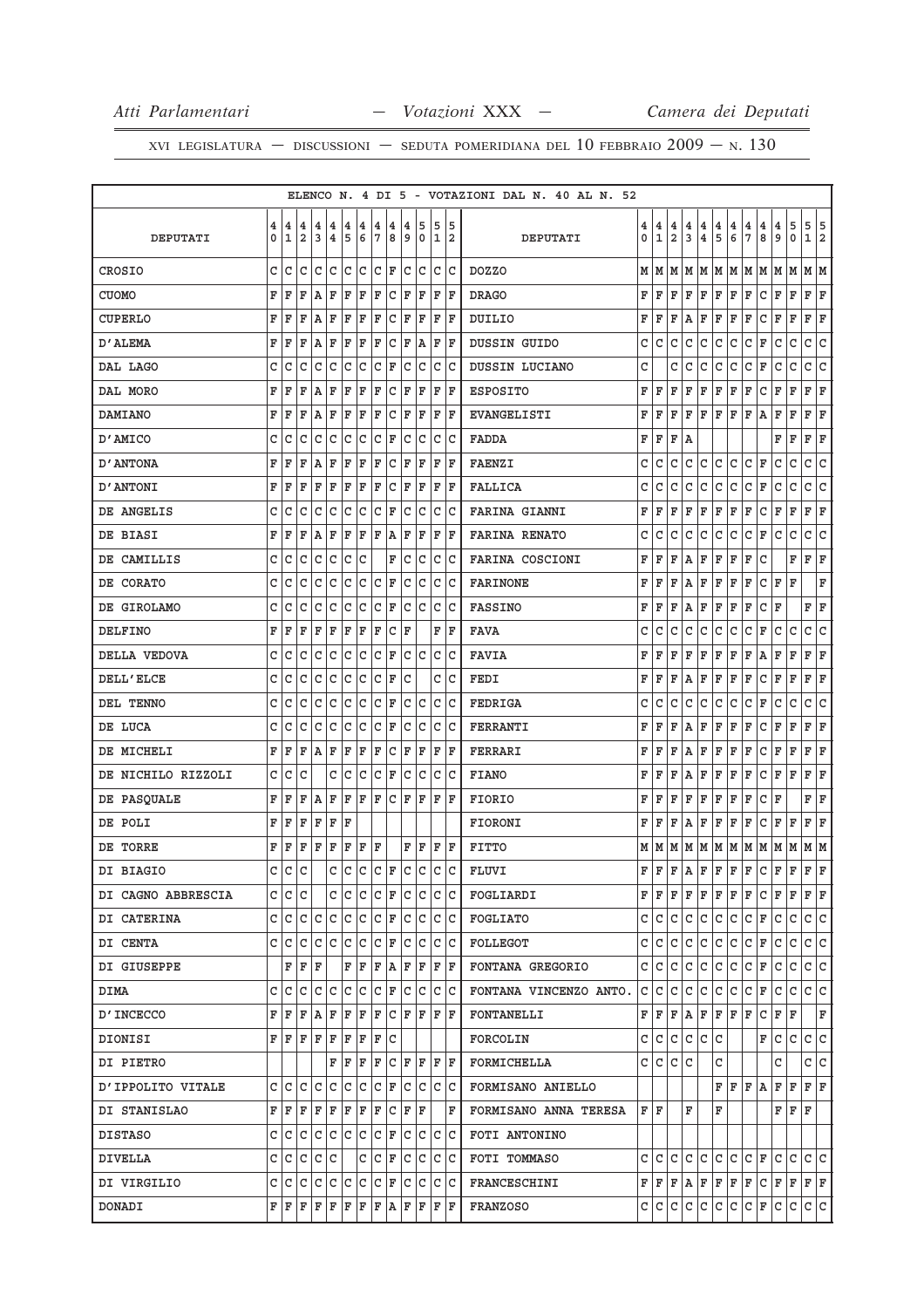|                    |              |              |                |                                                                                                                                                                                 |              |              |       |              |                    |     |                   |       |      | ELENCO N. 4 DI 5 - VOTAZIONI DAL N. 40 AL N. 52                                                                                                                                                                                                                                                                                                                                               |                |                |                |                         |                |               |                                       |               |                                                                                                                                                                                                                                                    |                                       |                                       |                                                 |                         |
|--------------------|--------------|--------------|----------------|---------------------------------------------------------------------------------------------------------------------------------------------------------------------------------|--------------|--------------|-------|--------------|--------------------|-----|-------------------|-------|------|-----------------------------------------------------------------------------------------------------------------------------------------------------------------------------------------------------------------------------------------------------------------------------------------------------------------------------------------------------------------------------------------------|----------------|----------------|----------------|-------------------------|----------------|---------------|---------------------------------------|---------------|----------------------------------------------------------------------------------------------------------------------------------------------------------------------------------------------------------------------------------------------------|---------------------------------------|---------------------------------------|-------------------------------------------------|-------------------------|
|                    | 4            | 4            | $\overline{4}$ | 4                                                                                                                                                                               | 4            | 4            | 4     | 4            | 4                  | 4   | 5                 | 5     | 15   |                                                                                                                                                                                                                                                                                                                                                                                               | 4 <sup>1</sup> | 4              | 4              | $\overline{\mathbf{4}}$ | 4              |               |                                       |               |                                                                                                                                                                                                                                                    |                                       |                                       |                                                 |                         |
| <b>DEPUTATI</b>    | 0            | $\mathbf{1}$ | $\overline{a}$ | 3                                                                                                                                                                               |              | 4 5          | 6     |              | 7 8                | 9   |                   | 0 1 2 |      | DEPUTATI                                                                                                                                                                                                                                                                                                                                                                                      | $\mathbf 0$    | $\overline{1}$ | $\overline{a}$ | 3                       | $\overline{4}$ | $\frac{4}{5}$ | $\begin{array}{c} 4 \\ 6 \end{array}$ | $\frac{4}{7}$ | $\frac{4}{8}$                                                                                                                                                                                                                                      | $\begin{array}{c} 4 \\ 9 \end{array}$ | $\begin{array}{c} 5 \\ 0 \end{array}$ | $\begin{array}{c c} 5 & 5 \\ 1 & 2 \end{array}$ |                         |
| CROSIO             | C            | C            | c              | $\mathsf{C}$                                                                                                                                                                    |              |              | c c c |              | C F                |     | lc lc lc lc       |       |      | <b>DOZZO</b>                                                                                                                                                                                                                                                                                                                                                                                  |                | MM             | м              | M                       | м              |               |                                       | MMM           | MM                                                                                                                                                                                                                                                 |                                       | М                                     | M M                                             |                         |
| <b>CUOMO</b>       | F            | F            | F              | A                                                                                                                                                                               | $\mathbf{F}$ |              | F F   |              |                    |     | F C F F           | F F   |      | <b>DRAGO</b>                                                                                                                                                                                                                                                                                                                                                                                  | F              | F              | F              | F                       | F              | $\mathbf F$   | F                                     | F             | $\mathtt{C}$                                                                                                                                                                                                                                       | F                                     | $\mathbf F$                           | F F                                             |                         |
| CUPERLO            | F            | F            | F              | ١A                                                                                                                                                                              | F            | $\mathbf{F}$ | F     | F            | C                  | F   | F                 | F  F  |      | DUILIO                                                                                                                                                                                                                                                                                                                                                                                        | F              | F              | F              | Α                       | F              | F             | F                                     | F             | С                                                                                                                                                                                                                                                  | F                                     | F                                     | F                                               | F                       |
| D'ALEMA            | F            | F            | F              | Α                                                                                                                                                                               | F            | F            | F     | F            |                    |     | C F A F F         |       |      | DUSSIN GUIDO                                                                                                                                                                                                                                                                                                                                                                                  | C              | C              | C              | $\mathtt{C}$            | $\mathtt{C}$   | $\mathtt{C}$  | $\mathtt{C}$                          | C             | F                                                                                                                                                                                                                                                  | $\mathtt{C}$                          | C                                     | C                                               | c                       |
| DAL LAGO           | C            | C            | C              | $\mathtt{C}$                                                                                                                                                                    | $\mathtt{C}$ | C            | c     |              | $ c $ F            |     | c c               | c c   |      | DUSSIN LUCIANO                                                                                                                                                                                                                                                                                                                                                                                | Ċ              |                | C              | C                       | $\mathtt{C}$   | C             | $\mathtt{C}$                          | C             | F                                                                                                                                                                                                                                                  | $\mathtt{C}$                          | $\mathtt{C}$                          | C                                               | c                       |
| DAL MORO           | F            | F            | F              | A                                                                                                                                                                               | F            | F            | ΙF    | F            | C F                |     | F                 | F F   |      | <b>ESPOSITO</b>                                                                                                                                                                                                                                                                                                                                                                               | F              | F              | F              | F                       | F              | F             | F                                     | F             | С                                                                                                                                                                                                                                                  | F                                     | F                                     | F F                                             |                         |
| <b>DAMIANO</b>     | F            | F            | F              | AF                                                                                                                                                                              |              | F            | F     | F            |                    |     | C F F             | F F   |      | <b>EVANGELISTI</b>                                                                                                                                                                                                                                                                                                                                                                            | F              | F              | F              | F                       | F              | F             | F                                     | F             | A                                                                                                                                                                                                                                                  | F                                     | F                                     | F F                                             |                         |
| D'AMICO            | c            | C            | c              | С                                                                                                                                                                               | C            |              | c c   |              | C F                |     | c c               | lc Ic |      | <b>FADDA</b>                                                                                                                                                                                                                                                                                                                                                                                  | F              | F              | F              | A                       |                |               |                                       |               |                                                                                                                                                                                                                                                    | F                                     | F                                     | FF                                              |                         |
| D' ANTONA          | F.           | F            | F              | A                                                                                                                                                                               | F            | F            | F     | F            | $ C $ F            |     | F                 | F  F  |      | <b>FAENZI</b>                                                                                                                                                                                                                                                                                                                                                                                 | C              | C              | C              | C                       | c              | С             | c                                     | С             | F                                                                                                                                                                                                                                                  | C                                     | C                                     | C                                               | c                       |
| D'ANTONI           | F            | F            | F              | F                                                                                                                                                                               | $\mathbf F$  | F            | F     | F            | c                  | F   | F                 | F F   |      | <b>FALLICA</b>                                                                                                                                                                                                                                                                                                                                                                                | c              | C              | c              | C                       | С              | С             | С                                     | c             | F                                                                                                                                                                                                                                                  | С                                     | C                                     | с                                               | C                       |
| DE ANGELIS         | C            | C            | С              | C                                                                                                                                                                               | $\mathtt{C}$ | c.           | C     |              | $ c $ F            |     | c c               | c c   |      | <b>FARINA GIANNI</b>                                                                                                                                                                                                                                                                                                                                                                          | F              | F              | F              | F                       | F              | F             | F                                     | F             | C                                                                                                                                                                                                                                                  | F                                     | F                                     | F F                                             |                         |
| DE BIASI           | F            | F            | F              | ΙA                                                                                                                                                                              | F            | ΙF           | F     |              | F A F              |     | F                 | F F   |      | <b>FARINA RENATO</b>                                                                                                                                                                                                                                                                                                                                                                          | C              | C              | $\mathtt{C}$   | $\mathtt{C}$            | $\mathtt{C}$   | $\mathtt{C}$  | $\mathtt{C}$                          | C             | F                                                                                                                                                                                                                                                  | $\mathtt{C}$                          | $\mathtt{C}$                          | $\mathtt{C}$                                    | c                       |
| DE CAMILLIS        | C            | C            | С              | С                                                                                                                                                                               | $\mathtt{C}$ | C            | С     |              | F                  |     | c c               | c c   |      | FARINA COSCIONI                                                                                                                                                                                                                                                                                                                                                                               | F              | F              | F              | А                       | F              | F             | F                                     | F             | C                                                                                                                                                                                                                                                  |                                       | F                                     | F F                                             |                         |
| DE CORATO          | c            | C            | С              | C                                                                                                                                                                               | $\mathtt{C}$ | lc.          |       |              | $ C C $ F          |     | c c c c           |       |      | <b>FARINONE</b>                                                                                                                                                                                                                                                                                                                                                                               | F              | F              | F              | Α                       | F              | F             | F                                     | F             | c                                                                                                                                                                                                                                                  | F                                     | F                                     |                                                 | F                       |
| DE GIROLAMO        | C            | C            | C              | C                                                                                                                                                                               | $\mathtt{C}$ | lc.          | lc.   |              | C F                |     | c c               | c c   |      | <b>FASSINO</b>                                                                                                                                                                                                                                                                                                                                                                                | F              | F              | F              | А                       | F              | F             | F                                     | F             | c                                                                                                                                                                                                                                                  | F                                     |                                       | F                                               | ΙF                      |
| <b>DELFINO</b>     |              | FF           | F              | F                                                                                                                                                                               | F            | F F          |       | $\mathbf{F}$ | $ C $ F            |     |                   | F F   |      | <b>FAVA</b>                                                                                                                                                                                                                                                                                                                                                                                   | С              | С              | С              | С                       | С              | С             | С                                     | С             | F                                                                                                                                                                                                                                                  | С                                     | C                                     | С                                               | c                       |
| DELLA VEDOVA       | C            | C            | С              | C                                                                                                                                                                               | $\mathtt{C}$ | lc.          | c     | c.           | F                  |     | c c               | lc lc |      | <b>FAVIA</b>                                                                                                                                                                                                                                                                                                                                                                                  | F              | F              | F              | F                       | F              | F             | F                                     | F             | Α                                                                                                                                                                                                                                                  | F                                     | F                                     | F                                               | ΙF                      |
| DELL'ELCE          | C            | C            | C              | C                                                                                                                                                                               | $\mathtt{C}$ | c.           | c     |              | $ c _{\mathbf{F}}$ | lc. |                   | c c   |      | FEDI                                                                                                                                                                                                                                                                                                                                                                                          | F              | F              | F              | Α                       | F              | $\mathbf F$   | F                                     | F             | $\mathtt{C}$                                                                                                                                                                                                                                       | F                                     | $\mathbf F$                           | F F                                             |                         |
| DEL TENNO          | C            | C            | С              | С                                                                                                                                                                               | $\mathtt{C}$ | c            | c     |              | $ {\tt C}\, $ F    |     | c c               | c c   |      | FEDRIGA                                                                                                                                                                                                                                                                                                                                                                                       | C              | C              | C              | C                       | C              | С             | c                                     | $\mathtt{C}$  | F                                                                                                                                                                                                                                                  | С                                     | С                                     | C                                               | C                       |
| DE LUCA            | c            | C            | с              | С                                                                                                                                                                               | С            | c            | C     |              | C F                | C   | lc                | lc Ic |      | FERRANTI                                                                                                                                                                                                                                                                                                                                                                                      | F              | F              | F              | Α                       | F              | F             | F                                     | F             | С                                                                                                                                                                                                                                                  | F                                     | F                                     | F                                               | ΙF                      |
| DE MICHELI         | F            | F            | $\mathbf{F}$   | AF                                                                                                                                                                              |              | F            | F     | F            |                    |     | C F F             | F  F  |      | FERRARI                                                                                                                                                                                                                                                                                                                                                                                       | F              | F              | F              | А                       | F              | F             | F                                     | F             | С                                                                                                                                                                                                                                                  | F                                     | F                                     | FF                                              |                         |
| DE NICHILO RIZZOLI | C            | C            | C              |                                                                                                                                                                                 | c            | lc           | C     |              | $ {\tt C}\, $ F    | lc. | lc.               | lc lc |      | <b>FIANO</b>                                                                                                                                                                                                                                                                                                                                                                                  | F              | F              | F              | Α                       | F              | F             | F                                     | F             | С                                                                                                                                                                                                                                                  | F                                     | F                                     | $\mathbf F$                                     | $\mathbf F$             |
| DE PASQUALE        |              | FF           | F              | lA.                                                                                                                                                                             | F            | F F          |       |              |                    |     | F C F F           | F F   |      | <b>FIORIO</b>                                                                                                                                                                                                                                                                                                                                                                                 | F              | F              | F              | F                       | F              | F             | F                                     | F             | С                                                                                                                                                                                                                                                  | F                                     |                                       | F F                                             |                         |
| DE POLI            | F            | ΙF           | F              | F                                                                                                                                                                               | $\mathbf F$  | ΙF           |       |              |                    |     |                   |       |      | <b>FIORONI</b>                                                                                                                                                                                                                                                                                                                                                                                | F              | F              | F              | Α                       | F              | F             | F                                     | F             | C                                                                                                                                                                                                                                                  | F                                     | F                                     | F F                                             |                         |
| DE TORRE           |              | FF           |                | $F$ $F$ $F$                                                                                                                                                                     |              | ΙF           | F F   |              |                    |     | F F F F           |       |      | FITTO                                                                                                                                                                                                                                                                                                                                                                                         |                | MM             |                | M M                     |                |               |                                       |               | $\mathbf{M}$ $\mathbf{M}$ $\mathbf{M}$ $\mathbf{M}$ $\mathbf{M}$ $\mathbf{M}$ $\mathbf{M}$                                                                                                                                                         |                                       |                                       | MM                                              |                         |
| DI BIAGIO          | $\mathsf{C}$ | $\mathtt{C}$ | $\mathsf{C}$   |                                                                                                                                                                                 |              | c c l        |       |              |                    |     | $c c _F c c c c $ |       |      | FLUVI                                                                                                                                                                                                                                                                                                                                                                                         | F              | $\mathbf{F}$   | F              | A                       | F              | $\mathbf F$   | F                                     | $\mathbf F$   | <b>C</b>                                                                                                                                                                                                                                           | F                                     | $\mathbf F$                           | F.                                              | $\overline{\mathbf{F}}$ |
| DI CAGNO ABBRESCIA |              |              | c c c          |                                                                                                                                                                                 |              |              |       |              |                    |     |                   |       |      | C C C C F C C C C  FOGLIARDI                                                                                                                                                                                                                                                                                                                                                                  |                |                |                |                         |                |               |                                       |               | $\texttt{F} \mid \texttt{F} \mid \texttt{F} \mid \texttt{F} \mid \texttt{F} \mid \texttt{F} \mid \texttt{C} \mid \texttt{F} \mid \texttt{F} \mid \texttt{F} \mid \texttt{F}$                                                                       |                                       |                                       |                                                 |                         |
| DI CATERINA        |              |              |                |                                                                                                                                                                                 |              |              |       |              |                    |     |                   |       |      | $C C C C C C C F C C C C $ FOGLIATO                                                                                                                                                                                                                                                                                                                                                           |                |                |                |                         |                |               |                                       |               | $C C C C C C C F C C C C C C $                                                                                                                                                                                                                     |                                       |                                       |                                                 |                         |
| DI CENTA           |              |              |                |                                                                                                                                                                                 |              |              |       |              |                    |     |                   |       |      | $C C C C C C C F C C C C $ FOLLEGOT                                                                                                                                                                                                                                                                                                                                                           |                | c c c          |                |                         | C C            |               | c c                                   |               | C F                                                                                                                                                                                                                                                | $\mathsf{C}$                          | c c c                                 |                                                 |                         |
| DI GIUSEPPE        |              |              |                | F F F                                                                                                                                                                           |              |              |       |              |                    |     |                   |       |      | $F F F A F F F F$ FONTANA GREGORIO                                                                                                                                                                                                                                                                                                                                                            |                |                |                |                         |                |               |                                       |               | c c c c c c c c F c c c c c                                                                                                                                                                                                                        |                                       |                                       |                                                 |                         |
| DIMA               |              |              |                | c c c c c c c c F c c c c c                                                                                                                                                     |              |              |       |              |                    |     |                   |       |      | FONTANA VINCENZO ANTO.                                                                                                                                                                                                                                                                                                                                                                        |                |                |                |                         |                |               |                                       |               |                                                                                                                                                                                                                                                    |                                       |                                       |                                                 |                         |
| <b>D'INCECCO</b>   |              |              |                |                                                                                                                                                                                 |              |              |       |              |                    |     |                   |       |      | $F F F A F F F F C F F F F $ FONTANELLI                                                                                                                                                                                                                                                                                                                                                       |                |                |                |                         | F F F A F      |               | F F F                                 |               | $C$ $F$ $F$                                                                                                                                                                                                                                        |                                       |                                       |                                                 | F                       |
| DIONISI            |              |              |                | $\mathbf{F} \left  \mathbf{F} \right  \mathbf{F} \left  \mathbf{F} \right  \mathbf{F} \left  \mathbf{F} \right  \mathbf{F} \left  \mathbf{F} \right  \mathbf{C} \left  \right.$ |              |              |       |              |                    |     |                   |       |      | FORCOLIN                                                                                                                                                                                                                                                                                                                                                                                      |                |                |                |                         |                | C C C C C C   |                                       |               |                                                                                                                                                                                                                                                    |                                       | F C C C C                             |                                                 |                         |
| DI PIETRO          |              |              |                |                                                                                                                                                                                 |              |              |       |              |                    |     |                   |       |      | $\mathbb F$ $\mathbb F$ $\mathbb F$ $\mathbb F$ $\mathbb C$ $\mathbb F$ $\mathbb F$ $\mathbb F$ $\mathbb F$ $\mathbb F$ $\mathbb F$ $\mathbb F$ $\mathbb C$ $\mathbb F$ $\mathbb F$ $\mathbb F$ $\mathbb F$ $\mathbb F$ $\mathbb F$ $\mathbb F$ $\mathbb F$ $\mathbb F$ $\mathbb F$ $\mathbb F$ $\mathbb F$ $\mathbb F$ $\mathbb F$ $\mathbb F$ $\mathbb F$ $\mathbb F$ $\mathbb F$ $\mathbb$ |                | cicicic        |                |                         |                | c             |                                       |               |                                                                                                                                                                                                                                                    | C.                                    |                                       | c c                                             |                         |
| D'IPPOLITO VITALE  |              |              |                |                                                                                                                                                                                 |              |              |       |              |                    |     |                   |       |      | $c c c c c c c c F c c c c $ Formisano aniello                                                                                                                                                                                                                                                                                                                                                |                |                |                |                         |                |               |                                       |               | F F F A                                                                                                                                                                                                                                            |                                       | F F F F                               |                                                 |                         |
| DI STANISLAO       |              |              |                | F F F F F F F F C F F                                                                                                                                                           |              |              |       |              |                    |     |                   |       | IF L | FORMISANO ANNA TERESA                                                                                                                                                                                                                                                                                                                                                                         | F F            |                |                | F                       |                | F             |                                       |               |                                                                                                                                                                                                                                                    |                                       | F F F                                 |                                                 |                         |
| DISTASO            |              |              |                |                                                                                                                                                                                 |              |              |       |              |                    |     |                   |       |      | $C C C C C C C F C C C C F$ FOTI ANTONINO                                                                                                                                                                                                                                                                                                                                                     |                |                |                |                         |                |               |                                       |               |                                                                                                                                                                                                                                                    |                                       |                                       |                                                 |                         |
| DIVELLA            |              |              |                | c c c c c                                                                                                                                                                       |              |              |       |              |                    |     | $ c c _F c c c c$ |       |      | FOTI TOMMASO                                                                                                                                                                                                                                                                                                                                                                                  |                |                |                |                         |                |               |                                       |               |                                                                                                                                                                                                                                                    |                                       |                                       |                                                 |                         |
| DI VIRGILIO        |              |              |                | $C C C C C C C F C C C C C $                                                                                                                                                    |              |              |       |              |                    |     |                   |       |      | FRANCESCHINI                                                                                                                                                                                                                                                                                                                                                                                  |                |                |                |                         |                |               |                                       |               | $\mathbf{F} \left  \mathbf{F} \right  \mathbf{F} \left  \mathbf{A} \right  \mathbf{F} \left  \mathbf{F} \right  \mathbf{F} \left  \mathbf{C} \right  \mathbf{F} \left  \mathbf{F} \right  \mathbf{F} \left  \mathbf{F} \right  \mathbf{F} \right $ |                                       |                                       |                                                 |                         |
| DONADI             |              |              |                |                                                                                                                                                                                 |              |              |       |              |                    |     |                   |       |      | $F F F F F F F F A F F F F F$ FRANZOSO                                                                                                                                                                                                                                                                                                                                                        |                |                |                |                         |                |               |                                       |               | C C C C C C C F C C C C C                                                                                                                                                                                                                          |                                       |                                       |                                                 |                         |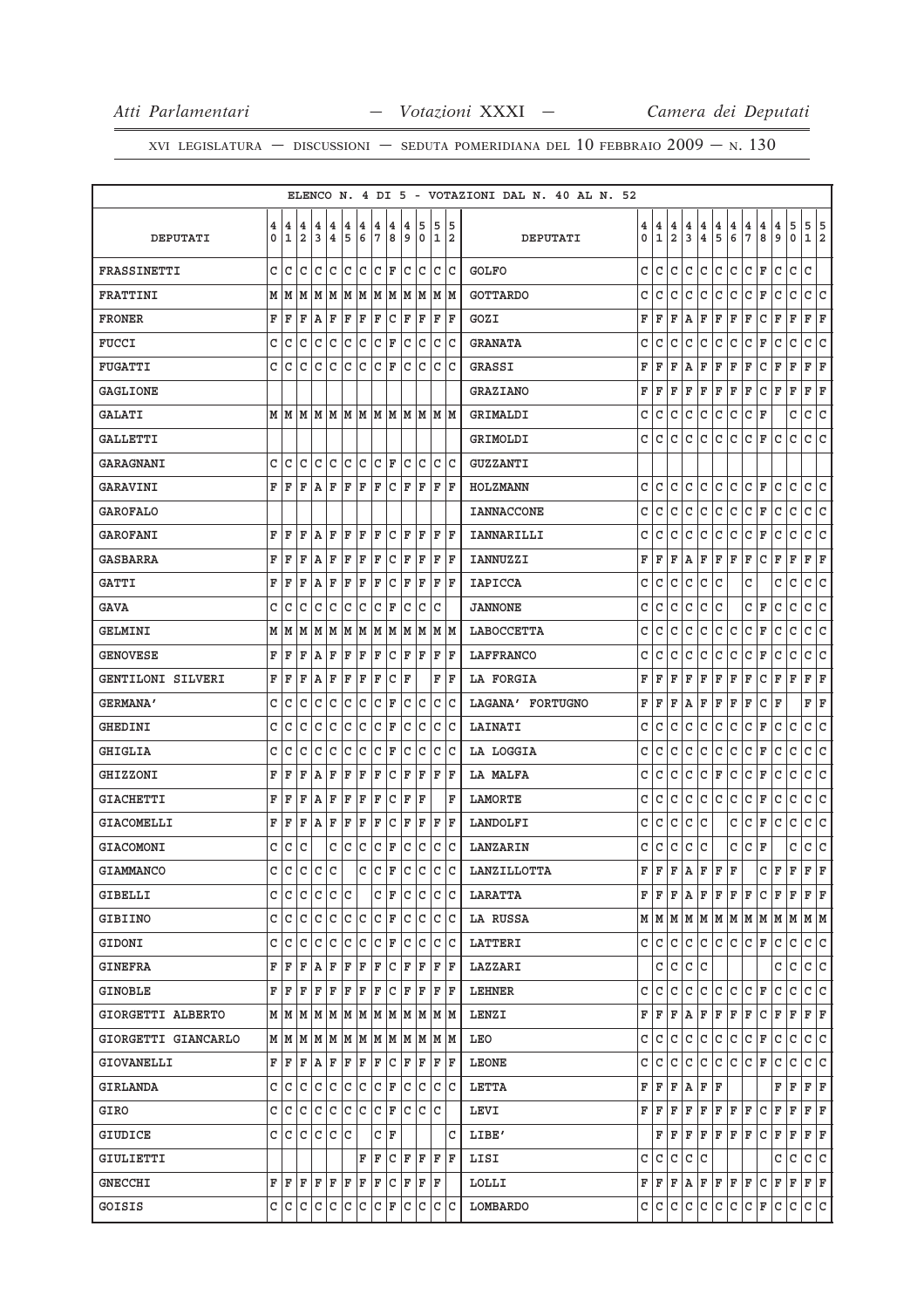|                     |   |                                                                                                                                            |              |           |                |       |                 |                 |                 |              |                                                                 |    |       |     | ELENCO N. 4 DI 5 - VOTAZIONI DAL N. 40 AL N. 52 |    |              |                |              |                         |               |                                       |               |                         |          |                                       |                                                                             |              |
|---------------------|---|--------------------------------------------------------------------------------------------------------------------------------------------|--------------|-----------|----------------|-------|-----------------|-----------------|-----------------|--------------|-----------------------------------------------------------------|----|-------|-----|-------------------------------------------------|----|--------------|----------------|--------------|-------------------------|---------------|---------------------------------------|---------------|-------------------------|----------|---------------------------------------|-----------------------------------------------------------------------------|--------------|
|                     | 4 | 4                                                                                                                                          | 4            | 4         | 4              | 4     | 4               | 4               | 4               | 4            | 5                                                               | 5  |       | 15  |                                                 | 4  | 4            | 4              | 4            | 4                       |               |                                       |               | 4                       | 4        |                                       |                                                                             |              |
| DEPUTATI            | 0 | 1                                                                                                                                          | 2            | 3         | $\overline{4}$ | 5     | $6\phantom{1}6$ | $7\phantom{.0}$ | 8               | و            | 0                                                               |    | 12    |     | DEPUTATI                                        | 0  | $\mathbf{1}$ | $\overline{a}$ | 3            | $\overline{\mathbf{4}}$ | $\frac{4}{5}$ | $\begin{array}{c} 4 \\ 6 \end{array}$ | $\frac{4}{7}$ | $\overline{\mathbf{8}}$ | و        | $\begin{array}{c} 5 \\ 0 \end{array}$ | $\begin{array}{c c} 5 & 5 \\ 1 & 2 \end{array}$                             |              |
| FRASSINETTI         | C | lc                                                                                                                                         | C            | lc.       | lc.            | c c   |                 | C F             |                 |              | lc Ic                                                           |    | lc Ic |     | <b>GOLFO</b>                                    | C  | c            | C              | $\mathtt{C}$ | $\mathtt{C}$            | C             | C                                     | $\mathtt{C}$  | $\mathbf F$             | C        | $\mathtt{C}$                          | $\mathtt{C}$                                                                |              |
| FRATTINI            |   | M M                                                                                                                                        |              |           |                |       |                 |                 |                 |              |                                                                 |    |       |     | <b>GOTTARDO</b>                                 | C  | С            | С              | С            | С                       | c             | С                                     | С             | F                       | С        | С                                     | c                                                                           | C            |
| <b>FRONER</b>       | F | ΙF                                                                                                                                         | F            | ΙA        | ΙF             | ΙF    | ΙF              | ΙF              | C               | ΙF           | ΙF                                                              | F  | ΙF    |     | GOZI                                            | F  | F            | F              | Α            | F                       | F             | F                                     | F             | С                       | F        | F                                     | F                                                                           | F            |
| <b>FUCCI</b>        | C | C                                                                                                                                          | c            | C         | lc.            | lc.   | lc.             |                 | C F             | C            | lc.                                                             |    | c c   |     | <b>GRANATA</b>                                  | С  | С            | C              | С            | C                       | С             | C                                     | C             | F                       | C        | $\mathtt{C}$                          | C                                                                           | C            |
| <b>FUGATTI</b>      | C | C                                                                                                                                          | C            | C         | C              | c     | C               | C               | ΙF              | C            | C                                                               | C  |       | ΙC  | GRASSI                                          | F  | F            | F              | Α            | F                       | F             | F                                     | F             | C                       | F        | F                                     | F                                                                           | F            |
| <b>GAGLIONE</b>     |   |                                                                                                                                            |              |           |                |       |                 |                 |                 |              |                                                                 |    |       |     | <b>GRAZIANO</b>                                 | F  | F            | F              | F            | F                       | F             | F                                     | F             | C                       | F        | F                                     | F                                                                           | F            |
| <b>GALATI</b>       |   |                                                                                                                                            |              |           |                |       |                 |                 |                 |              |                                                                 |    |       |     | GRIMALDI                                        | C  | С            | $\mathtt{C}$   | $\mathtt{C}$ | $\mathtt{C}$            | C             | $\mathtt{C}$                          | C             | F                       |          | C                                     | $\mathtt{C}$                                                                | $\mathtt{C}$ |
| GALLETTI            |   |                                                                                                                                            |              |           |                |       |                 |                 |                 |              |                                                                 |    |       |     | GRIMOLDI                                        | c  | C            | С              | С            | С                       | c             | С                                     | c             | F                       | C        | C                                     | C                                                                           | C            |
| <b>GARAGNANI</b>    | C | l C                                                                                                                                        | C            | lc.       | l C            | lc Ic |                 | C  F            |                 | C            | lc.                                                             |    | lc Ic |     | GUZZANTI                                        |    |              |                |              |                         |               |                                       |               |                         |          |                                       |                                                                             |              |
| GARAVINI            | F | l F                                                                                                                                        | F            | ١A        | ΙF             | ΙF    | ΙF              | ΙF              | C               | ΙF           | ΙF                                                              | ΙF | ١F    |     | HOLZMANN                                        | c  | С            | С              | С            | С                       | С             | С                                     | С             | F                       | С        | C                                     | С                                                                           | C            |
| GAROFALO            |   |                                                                                                                                            |              |           |                |       |                 |                 |                 |              |                                                                 |    |       |     | <b>IANNACCONE</b>                               | C  | С            | C              | С            | C                       | C             | c                                     | C             | F                       | C        | $\mathtt{C}$                          | C                                                                           | c            |
| <b>GAROFANI</b>     | F | ΙF                                                                                                                                         | F            | ΙA        | ΙF             | ΙF    | ΙF              | ΙF              | C               | F            | ΙF                                                              | F  | ١F    |     | IANNARILLI                                      | C  | C            | C              | С            | C                       | С             | c                                     | C             | F                       | С        | $\mathtt{C}$                          | С                                                                           | C            |
| <b>GASBARRA</b>     | F | ΙF                                                                                                                                         | ΙF           | ۱A.       | ΙF             | F     | F               | ΙF              | lc              | ΙF           | ΙF                                                              | F  | İΕ    |     | <b>IANNUZZI</b>                                 | F  | F            | F              | Α            | F                       | F             | F                                     | F             | C                       | F        | F                                     | F<br>F                                                                      |              |
| <b>GATTI</b>        | F | F                                                                                                                                          | F            | A         | F              | F     | ΙF              | F               | C               | F            | F                                                               | F  | ١F    |     | <b>IAPICCA</b>                                  | C  | C            | C              | С            | C                       | C             |                                       | C             |                         | С        | C                                     | $\mathtt{C}$                                                                | C            |
| GAVA                | C | C                                                                                                                                          | C            | C         | c              | lc    | C               | C               | ΙF              | C            | C                                                               | C  |       |     | <b>JANNONE</b>                                  | C  | С            | С              | С            | С                       | c             |                                       | c             | F                       | С        | C                                     | c                                                                           | C            |
| GELMINI             | м | M                                                                                                                                          |              |           |                |       |                 |                 |                 |              | M   M   M   M   M   M   M   M                                   |    | M M   |     | LABOCCETTA                                      | C  | С            | С              | С            | С                       | c             | C                                     | c             | F                       | С        | $\mathtt{C}$                          | C                                                                           | C            |
| <b>GENOVESE</b>     | F | ΙF                                                                                                                                         | F            | A         | F              | ΙF    | F               | ΙF              | C               | ΙF           | ΙF                                                              | ΙF | ΙF    |     | LAFFRANCO                                       | C  | C            | C              | С            | C                       | С             | C                                     | С             | F                       | C        | C                                     | С                                                                           | C            |
| GENTILONI SILVERI   | F | ΙF                                                                                                                                         | F            | lA.       | ΙF             | F     | F               | F               | C               | ΙF           |                                                                 |    | F F   |     | LA FORGIA                                       | F  | F            | F              | F            | F                       | F             | F                                     | F             | С                       | F        | F                                     | F F                                                                         |              |
| <b>GERMANA'</b>     | C | C                                                                                                                                          | C            | C         | C              | lc    | C               | C               | F               | C            | c                                                               | c  |       | ١c  | LAGANA' FORTUGNO                                | F  | F            | F              | Α            | F                       | F             | F                                     | F             | C                       | F        |                                       | F                                                                           | F            |
| GHEDINI             | C | C                                                                                                                                          | C            | C         | C              | lc    | lc.             | C               | F               | $\mathtt{C}$ | lc                                                              |    | c c   |     | LAINATI                                         | C  | С            | С              | C            | C                       | C             | $\mathtt{C}$                          | C             | F                       | С        | C                                     | C                                                                           | c            |
| GHIGLIA             | C | C                                                                                                                                          | C            | C         | C              | C     | С               | C               | ΙF              | C            | c                                                               | С  | lc    |     | LA LOGGIA                                       | C  | C            | C              | С            | С                       | c             | С                                     | c             | F                       | С        | С                                     | c                                                                           | c            |
| GHIZZONI            | F | ΙF                                                                                                                                         | F            | ΙA        | F              | F     | F               | ΙF              | C               | ΙF           | F                                                               | F  | ΙF    |     | LA MALFA                                        | C  | C            | c              | С            | С                       | F             | С                                     | c             | F                       | С        | С                                     | С                                                                           | C            |
| <b>GIACHETTI</b>    | F | F                                                                                                                                          | F            | lA.       | ΙF             | F     | F               | ΙF              | C               | ΙF           | F                                                               |    |       | F   | LAMORTE                                         | с  | с            | С              | C            | C                       | С             | c                                     | С             | F                       | С        | $\mathtt{C}$                          | c                                                                           | c            |
| GIACOMELLI          | F | ΙF                                                                                                                                         | F            | lA.       | ΙF             | ΙF    | F               | ΙF              | C               | ΙF           | ΙF                                                              | ΙF |       | ΙF  | LANDOLFI                                        | С  | C            | C              | C            | C                       |               | C                                     | C             | F                       | С        | С                                     | $\mathtt{C}$                                                                | C            |
| GIACOMONI           | C | C                                                                                                                                          | C            |           | C              | lc    | C               | C               | F               | C            | C                                                               | С  | lc    |     | LANZARIN                                        | С  | C            | с              | C            | C                       |               | С                                     | C             | F                       |          | С                                     | c                                                                           | C            |
| GIAMMANCO           | C | C                                                                                                                                          | $\mathtt{C}$ | c         | $\mathbf C$    |       | C               | c               | ΙF              | c            | C                                                               | C  |       | lc  | LANZILLOTTA                                     | F  | F            | F              | Α            | F                       | F             | F                                     |               | C                       | F        | F                                     | F                                                                           | $\mathbf F$  |
| GIBELLI             |   | c c c c c c c                                                                                                                              |              |           |                |       |                 |                 | C F             |              | c c                                                             |    | c c   |     | <b>LARATTA</b>                                  |    | F F.         |                | F A          |                         |               | F F F F                               |               |                         |          |                                       | C F F F F                                                                   |              |
| <b>GIBIINO</b>      |   | C C C C C C C F                                                                                                                            |              |           |                |       |                 |                 |                 |              | le le le le                                                     |    |       |     | LA RUSSA                                        |    |              |                |              |                         |               |                                       |               |                         |          |                                       | $M$   $M$   $M$   $M$   $M$   $M$   $M$   $M$   $M$   $M$   $M$   $M$   $M$ |              |
| GIDONI              |   | c Ic                                                                                                                                       | lC.          | Iс        | lc             | lc.   | lc              |                 | $ {\tt C}\, $ F | C            | IС                                                              |    | C C   |     | LATTERI                                         | C  | C            | С              | С            | c                       |               | C C                                   | CF            |                         | С        | С                                     | C C                                                                         |              |
| <b>GINEFRA</b>      |   | F F                                                                                                                                        |              | F A F F F |                |       |                 |                 |                 |              | F C F F F F F                                                   |    |       |     | LAZZARI                                         |    | C            | C              |              | C C                     |               |                                       |               |                         | C        | C                                     | c c                                                                         |              |
| GINOBLE             |   | FF                                                                                                                                         | F            | F         | F F            |       | F               | F               |                 |              | $C$ $F$ $F$                                                     |    | F  F  |     | LEHNER                                          | c  | С            | С              | С            | C                       | C             | C                                     | C             | F                       | С        | С                                     | C C                                                                         |              |
| GIORGETTI ALBERTO   |   |                                                                                                                                            |              |           |                |       |                 |                 |                 |              | $M$   $M$   $M$   $M$   $M$   $M$   $M$   $M$   $M$   $M$   $M$ |    | M  M  |     | LENZI                                           | FI | F            | F              | Α            | F                       | $\mathbf{F}$  | F                                     | F             | C                       | F        | F                                     | F F                                                                         |              |
| GIORGETTI GIANCARLO |   |                                                                                                                                            |              |           |                |       |                 |                 |                 |              | $M$   $M$   $M$   $M$   $M$   $M$   $M$   $M$   $M$   $M$   $M$ |    | M M   |     | LEO                                             | C  | С            | C              | C            | C                       |               | C C                                   | C F           |                         | C        | C                                     | c c                                                                         |              |
| GIOVANELLI          |   | FF                                                                                                                                         |              | F A F F F |                |       |                 |                 |                 |              | F C F F                                                         |    | F  F  |     | LEONE                                           | c  | С            | С              | C            | C                       | $\mathtt{C}$  | c.                                    | $\mathsf{C}$  | F                       | C        | $\mathtt{C}$                          | c c                                                                         |              |
| GIRLANDA            |   | $C C C C C C C C F$                                                                                                                        |              |           |                |       |                 |                 |                 |              | C C                                                             |    | c c   |     | LETTA                                           | F  | F            |                | F A          | F                       | F             |                                       |               |                         | F        | F                                     | F F                                                                         |              |
| GIRO                |   | c Ic                                                                                                                                       | lc.          | C C C C   |                |       |                 | $ C $ F         |                 |              | lc Ic Ic                                                        |    |       |     | LEVI                                            | F  | F            | F              | F            | F                       | F             | F                                     | F             | С                       | F        | F                                     | F F                                                                         |              |
| GIUDICE             |   | c c c c c c                                                                                                                                |              |           |                |       |                 |                 | C F             |              |                                                                 |    |       | C I | LIBE'                                           |    | F            | F              | F            | F                       |               | F F F                                 |               | C                       | $F \mid$ | F                                     | F F                                                                         |              |
| GIULIETTI           |   |                                                                                                                                            |              |           |                |       | F               | lF.             |                 |              | C F F F F                                                       |    |       |     | LISI                                            | C  | С            | С              | C            | C                       |               |                                       |               |                         | С        | с                                     | C C                                                                         |              |
| GNECCHI             |   | $\mathbf{F} \parallel \mathbf{F} \parallel \mathbf{F} \parallel \mathbf{F} \parallel \mathbf{F} \parallel \mathbf{F} \parallel \mathbf{F}$ |              |           |                |       |                 |                 |                 |              | F C F F F                                                       |    |       |     | LOLLI                                           |    | F F          |                | F A          | F                       |               | F F                                   | F             | C                       | F        | F                                     | F F                                                                         |              |
| GOISIS              |   | $C C C C C C C C F$                                                                                                                        |              |           |                |       |                 |                 |                 | c            | c                                                               |    | c c   |     | LOMBARDO                                        |    | C C          | C              |              | C C                     |               | C C                                   | C F           |                         | c        | c                                     | c c                                                                         |              |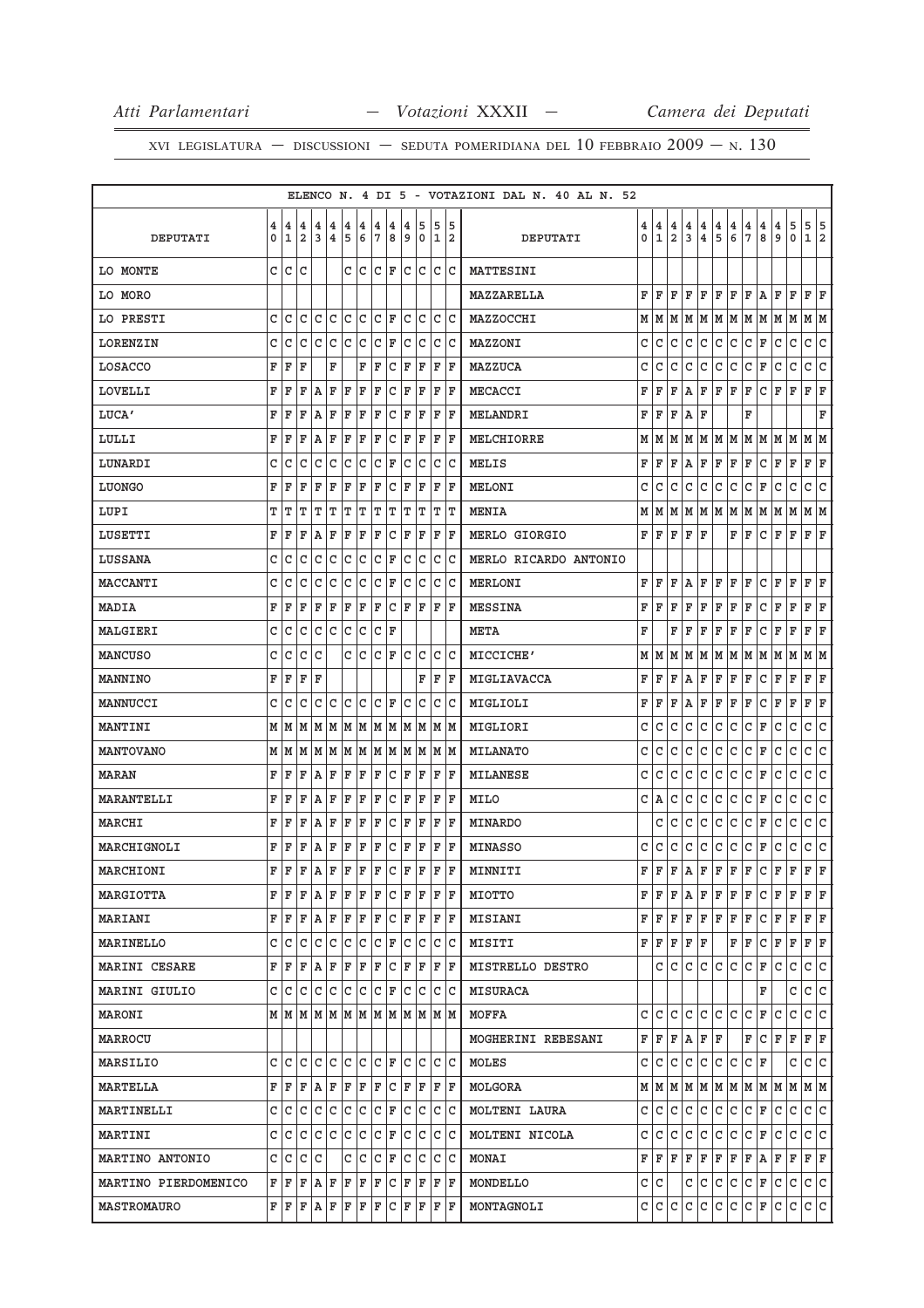|                      |     |              |                |                                                                                                                                                       |                     |     |           |              |              |    |                                                                             |      |    | ELENCO N. 4 DI 5 - VOTAZIONI DAL N. 40 AL N. 52 |   |              |                |              |     |                |                          |                    |              |     |             |                                                                             |
|----------------------|-----|--------------|----------------|-------------------------------------------------------------------------------------------------------------------------------------------------------|---------------------|-----|-----------|--------------|--------------|----|-----------------------------------------------------------------------------|------|----|-------------------------------------------------|---|--------------|----------------|--------------|-----|----------------|--------------------------|--------------------|--------------|-----|-------------|-----------------------------------------------------------------------------|
|                      | 4   | 4            | 4              | 4                                                                                                                                                     | 4                   | 4   | 4         | 4            | 4            | 4  | 5                                                                           | 5    | 5  |                                                 | 4 | 4            | 4              | 4            | 4   | $\overline{4}$ | 4                        | 4                  | 4            | 4   | 5           | 5<br>5                                                                      |
| DEPUTATI             | 0   | $\mathbf{1}$ | $\overline{a}$ | 3                                                                                                                                                     | 4                   | 5   | 6         | 7            | 8            | 9  | 0                                                                           | 1 2  |    | DEPUTATI                                        | 0 | $\mathbf{1}$ | $\overline{2}$ | 3            | 4   | 5              | 6                        | 7                  | 8            | و   | $\mathbf 0$ | 1<br>2                                                                      |
| LO MONTE             | c l | lc.          | C              |                                                                                                                                                       |                     |     |           |              |              |    | $C C C F C C C C$                                                           |      |    | MATTESINI                                       |   |              |                |              |     |                |                          |                    |              |     |             |                                                                             |
| LO MORO              |     |              |                |                                                                                                                                                       |                     |     |           |              |              |    |                                                                             |      |    | MAZZARELLA                                      | F | F            | F              | F            | F   | F              | ΙF                       | F                  | l A          | F   | F           | F<br>ΙF                                                                     |
| LO PRESTI            | C   | C            | C              | c                                                                                                                                                     | С                   | C   | С         |              | C F          | С  | С                                                                           | c Ic |    | MAZZOCCHI                                       | М | M            | M              | M            | M   | M              | M                        | M                  | M            | M   | M           | M  M                                                                        |
| <b>LORENZIN</b>      | С   | C            | C              | С                                                                                                                                                     | С                   | C   | C         |              | C F          | С  | С                                                                           | C C  |    | MAZZONI                                         | C | C            | C              | C            | C   | C              | C                        | C                  | F            | C   | C           | lc.<br>lc                                                                   |
| LOSACCO              | F   | F            | F              |                                                                                                                                                       | F                   |     | F         | F            | С            | F  | F                                                                           | F    | ΙF | MAZZUCA                                         | C | C            | C              | C            | C   | С              | С                        | c                  | F            | С   | С           | C<br>C                                                                      |
| LOVELLI              | F   | F            | F              | Α                                                                                                                                                     | F                   | F   | F         | F            | С            | F  | F                                                                           | F    | ΙF | MECACCI                                         | F | F            | F              | Α            | F   | ΙF             | F                        | ΙF                 | $\mathtt{C}$ | F   | F           | F<br> F                                                                     |
| LUCA'                | F   | F            | F              | A                                                                                                                                                     | F                   | F   | F         | F            | С            | F  | F                                                                           | F    | F  | MELANDRI                                        | F | F            | F              | Α            | ΙF  |                |                          | F                  |              |     |             | F                                                                           |
| LULLI                | F   | F            | F              | $\mathbf{A}$                                                                                                                                          | F                   | F   | F         | F            | С            | F  | F                                                                           | F    | ΙF | MELCHIORRE                                      | М | M            | M              | M            |     |                | M   M   M   M   M        |                    |              |     | M           | M M                                                                         |
| LUNARDI              | С   | C            | C              | C                                                                                                                                                     | С                   | С   | С         | c            | F            | С  | С                                                                           | c    | C  | MELIS                                           | F | F            | F              | Α            | F   | F              | F                        | F                  | C            | F   | F           | F<br>F                                                                      |
| LUONGO               | F   | F            | F              | F                                                                                                                                                     | F                   | F   | F         | F            | С            | F  | F                                                                           | F    | ΙF | <b>MELONI</b>                                   | C | C            | C              | C            | C   | C              | C                        | C                  | F            | C   | C           | C<br>C                                                                      |
| LUPI                 | т   | т            | т              | т                                                                                                                                                     | т                   | т   | т         | т            | т            | т  | т                                                                           | TIT  |    | <b>MENIA</b>                                    | M | M            | M              | M            | MM  |                | MM                       |                    | M  M         |     | М           | MM                                                                          |
| LUSETTI              | F   | F            | F              | A                                                                                                                                                     | F                   | F   | F         | F            | C            | F  | F                                                                           | F    | ΙF | MERLO GIORGIO                                   | F | F            | F              | F            | F   |                | F                        | F                  | C            | F   | $\mathbf F$ | F<br>F                                                                      |
| LUSSANA              | С   | C            | C              | C                                                                                                                                                     | С                   | C   | С         | C            | F            | С  | C                                                                           | c  c |    | MERLO RICARDO ANTONIO                           |   |              |                |              |     |                |                          |                    |              |     |             |                                                                             |
| MACCANTI             | с   | C            | C              | C                                                                                                                                                     | С                   | С   | С         | c            | F            | С  | С                                                                           | C C  |    | <b>MERLONI</b>                                  | F | F            | F              | Α            | F   | F              | F                        | ΙF                 | C            | F   | $\mathbf F$ | F<br>F                                                                      |
| MADIA                | F   | F            | F              | F                                                                                                                                                     | F                   | F   | F         | F            | С            | ΙF | F                                                                           | F    | ΙF | <b>MESSINA</b>                                  | F | F            | F              | F            | F   | F              | F                        | F                  | C            | F   | F           | F<br>F                                                                      |
| MALGIERI             | C   | С            | С              |                                                                                                                                                       | C C C               |     | C         |              | C F          |    |                                                                             |      |    | <b>META</b>                                     | F |              | F              | F            | F   | F              | F                        | F                  | C            | F   | F           | F<br>F                                                                      |
| <b>MANCUSO</b>       | с   | C            | C              | C                                                                                                                                                     |                     | C I | C         |              | C F          | C  | C                                                                           | C C  |    | MICCICHE'                                       | М | M            | M              | М            | M   | M              | M                        | M                  | M            | M   | M           | M<br>M                                                                      |
| MANNINO              | F   | ΙF           | F              | F                                                                                                                                                     |                     |     |           |              |              |    | F                                                                           | F F  |    | MIGLIAVACCA                                     | F | F            | F              | A            | F   | F              | F                        | F                  | С            | F   | $\mathbf F$ | F<br>F                                                                      |
| MANNUCCI             | C   | C            | C              | C                                                                                                                                                     | $\mathtt{C}$        | C   | C         | $\mathsf{C}$ | F            | C  | C                                                                           | C    | C  | MIGLIOLI                                        | F | F            | F              | Α            | F   | F              | F                        | F                  | C            | F   | F           | F<br> F                                                                     |
| MANTINI              |     |              |                |                                                                                                                                                       |                     |     |           |              |              |    | $M$   $M$   $M$   $M$   $M$   $M$   $M$   $M$   $M$   $M$   $M$   $M$   $M$ |      |    | MIGLIORI                                        | C | C            | C              | C            | C   | $\mathsf{C}$   | lc.                      | lc                 | F            | C   | C           | c<br>c                                                                      |
| <b>MANTOVANO</b>     |     | M   M        | M              |                                                                                                                                                       |                     |     |           |              |              |    | M  M  M  M  M  M  M  M  M  M                                                |      |    | MILANATO                                        | C | C            | C              | C            | C   | C              | C                        | C                  | F            | C   | C           | lc.<br>С                                                                    |
| MARAN                | F   | F            | F              | A                                                                                                                                                     | F                   | F   | F         | F            | С            | F  | F                                                                           | F    | ΙF | MILANESE                                        | C | C            | C              | C            | C   | C              | C                        | C                  | F            | C   | C           | C<br>C                                                                      |
| MARANTELLI           | F   | F            | F              | A                                                                                                                                                     | F                   | F   | F         | F            | C            | F  | F                                                                           | F    | ΙF | MILO                                            | C | A            | C              | C            | C   | C              | lc.                      | l c                | F            | C   | C           | lc.<br> c                                                                   |
| MARCHI               | F   | F            | F              | ١A                                                                                                                                                    | F                   | F   | F         | F            | с            | F  | F                                                                           | F    | ΙF | MINARDO                                         |   | C            | C              | C            | C   | C              | C                        | $\mathtt{C}$       | F            | C   | C           | c<br>c                                                                      |
| MARCHIGNOLI          |     | F F          | F              | ا A                                                                                                                                                   | F                   | F   | F         | F            | C            | F  | F                                                                           | F F  |    | <b>MINASSO</b>                                  | C | С            | C              | $\mathtt{C}$ | С   | $\mathtt{C}$   | l c                      | c                  | F            | С   | С           | c<br> c                                                                     |
| MARCHIONI            | FΙ  | F            | F              | ١A                                                                                                                                                    | F F                 |     | F         | F            | $\mathtt{C}$ | F  | F                                                                           | F    | F  | MINNITI                                         | F | $\mathbf F$  | F              | A            | F   | $\mathbf F$    | F                        | F                  | $\mathtt{C}$ | F   | F           | l F<br>F                                                                    |
| MARGIOTTA            |     | FF           | ΙF             |                                                                                                                                                       | $A$ $F$ $F$ $F$ $F$ |     |           |              |              |    | $C$ $F$ $F$ $F$ $F$                                                         |      |    | MIOTTO                                          | F | ΙF           | F              | A            | F   | ΙF             | F                        | F                  | C            | F   | F           | lF.<br>F                                                                    |
| <b>MARIANI</b>       |     |              |                |                                                                                                                                                       |                     |     |           |              |              |    | F F F A F F F F C F F                                                       | F F  |    | <b>MISIANI</b>                                  | F | ΙF           | F              | F            | F   | ΙF             | F                        | ΙF                 | С            | F   | F           | F F                                                                         |
| MARINELLO            |     | C C          | C              | c                                                                                                                                                     | С                   | c   | c         |              | C F          | C  | С                                                                           | C C  |    | MISITI                                          | F | F            | F              | F            | F   |                | F                        | F                  | С            | F   | $\mathbf F$ | F<br>F                                                                      |
| MARINI CESARE        |     |              |                |                                                                                                                                                       |                     |     |           |              |              |    | F F F A F F F F C F F F F F F                                               |      |    | MISTRELLO DESTRO                                |   | c            | l C            | lc.          |     |                | $ c c c c _{\mathbf{F}}$ |                    |              | l C | lc.         | c c                                                                         |
| MARINI GIULIO        |     | c  c         |                | C C C C C C F C                                                                                                                                       |                     |     |           |              |              |    | $\mathsf{C}$                                                                | C C  |    | <b>MISURACA</b>                                 |   |              |                |              |     |                |                          |                    | F            |     | c           | C<br>lc.                                                                    |
| MARONI               |     |              |                |                                                                                                                                                       |                     |     |           |              |              |    | MMMMMMMMMMMMMM                                                              |      |    | MOFFA                                           | c | lc.          | C              | C            | C   | C              | lc.                      | lc.                | F            | C   | С           | c<br>lc.                                                                    |
| <b>MARROCU</b>       |     |              |                |                                                                                                                                                       |                     |     |           |              |              |    |                                                                             |      |    | MOGHERINI REBESANI                              | F | F            | F              | Α            | F   | F              |                          | F                  | C            | ΙF  | F           | F<br>F                                                                      |
| MARSILIO             |     | c Ic         | C              |                                                                                                                                                       |                     |     |           |              |              |    | c c                                                                         | c c  |    | MOLES                                           | C | l C          | lc.            | lc.          | lc. | lc.            | c                        | $ c _{\mathbf{F}}$ |              |     | C           | c c                                                                         |
| MARTELLA             |     |              |                |                                                                                                                                                       |                     |     |           |              |              |    | F F F A F F F F C F F F F F                                                 |      |    | MOLGORA                                         |   |              |                |              |     |                |                          |                    |              |     |             | $M$   $M$   $M$   $M$   $M$   $M$   $M$   $M$   $M$   $M$   $M$   $M$   $M$ |
| MARTINELLI           |     | C C          |                |                                                                                                                                                       |                     |     |           |              |              |    | $\mathsf{C}$<br>C                                                           | C C  |    | MOLTENI LAURA                                   | C | С            | C              | C            | C   | C              | С                        | C                  | F            | C   | C           | C C                                                                         |
| <b>MARTINI</b>       |     |              |                | C C C C C C C C F                                                                                                                                     |                     |     |           |              |              |    | c c c c                                                                     |      |    | MOLTENI NICOLA                                  | C | lc.          | lc.            | l c          | lc. | c              | c                        | C F                |              | lc. | lc.         | c c                                                                         |
| MARTINO ANTONIO      |     | C C          | c              | C                                                                                                                                                     |                     | c   | $\vert$ C |              | $ C $ F      |    | $\mathsf{C}$<br>C                                                           | C C  |    | <b>MONAI</b>                                    | F | F            | F              | F            | F   | F              | F                        | F                  | ١A           | F   | F           | F<br>F                                                                      |
| MARTINO PIERDOMENICO |     |              |                | $\mathbf{F} \left  \mathbf{F} \right  \mathbf{F} \left  \mathbf{A} \right  \mathbf{F} \left  \mathbf{F} \right  \mathbf{F} \left  \mathbf{F} \right $ |                     |     |           |              |              |    | C F F F F                                                                   |      |    | MONDELLO                                        |   | C C          |                | С            | l C | l C            | c                        | c                  | F            | c   | c           | c c                                                                         |
| <b>MASTROMAURO</b>   |     |              |                | $\mathbf{F} \left  \mathbf{F} \right  \mathbf{F} \left  \mathbf{A} \right  \mathbf{F} \left  \mathbf{F} \right  \mathbf{F} \left  \mathbf{F} \right $ |                     |     |           |              |              |    | $C$ $F$ $F$ $F$ $F$                                                         |      |    | MONTAGNOLI                                      | C | C            | l C            | C            | lc. | C              | c                        | $ c _{\mathbf{F}}$ |              | c   | c           | c c                                                                         |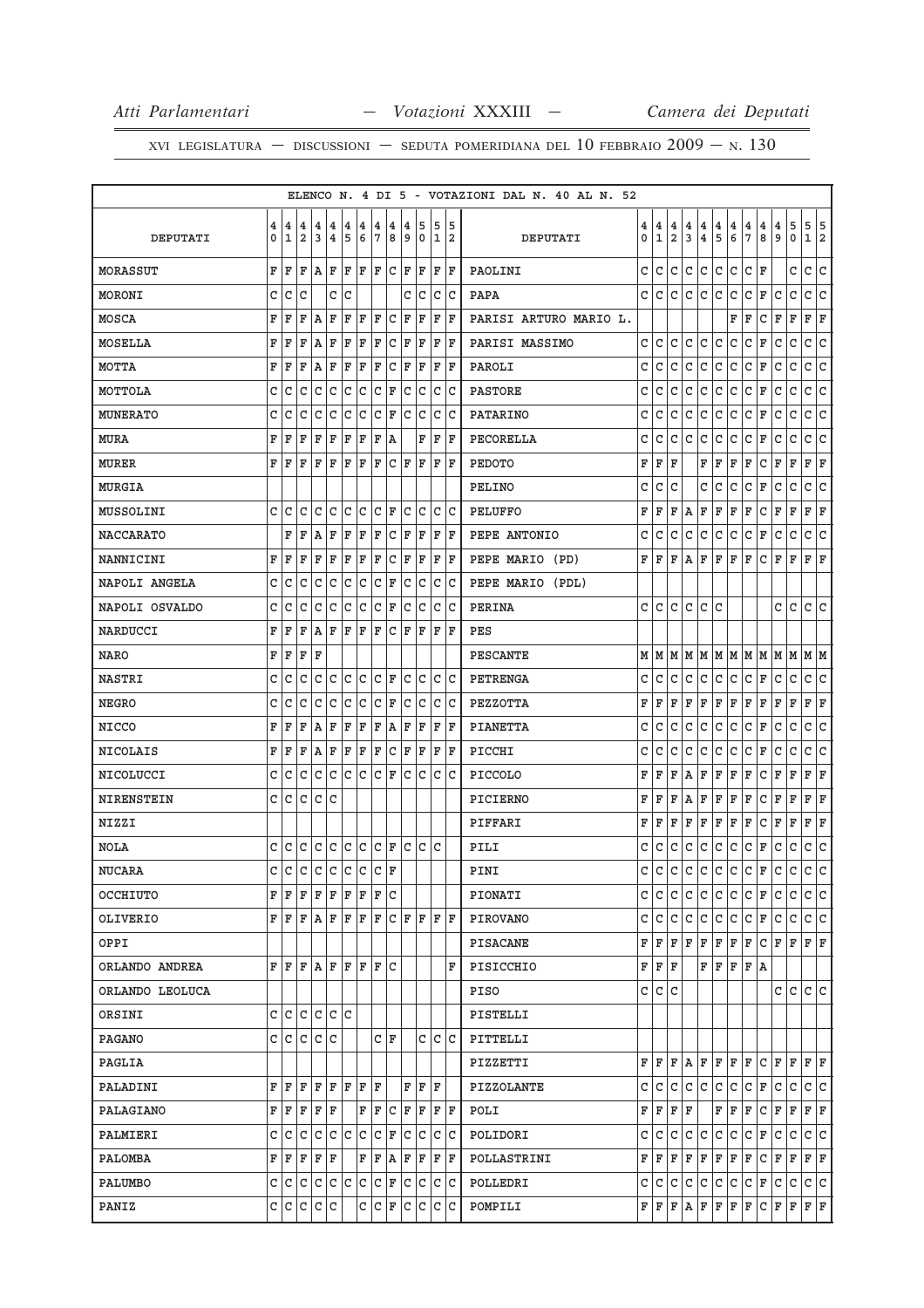|                   |              |                                                                                                                      |     |                              |                         |     |     |            |         |     |                           |     |       | ELENCO N. 4 DI 5 - VOTAZIONI DAL N. 40 AL N. 52 |   |              |              |              |              |              |                                       |                                       |                                       |                                       |                                       |                                       |                                       |
|-------------------|--------------|----------------------------------------------------------------------------------------------------------------------|-----|------------------------------|-------------------------|-----|-----|------------|---------|-----|---------------------------|-----|-------|-------------------------------------------------|---|--------------|--------------|--------------|--------------|--------------|---------------------------------------|---------------------------------------|---------------------------------------|---------------------------------------|---------------------------------------|---------------------------------------|---------------------------------------|
|                   | 4            | 4                                                                                                                    | 4   | 4                            | 4                       | 4   | 4   | 4          | 4       | 4   | 5                         | 5   | 15    |                                                 | 4 | 4            | 4            | 4            | 4            | 4            |                                       |                                       |                                       |                                       |                                       |                                       |                                       |
| DEPUTATI          | 0            | 1                                                                                                                    | 2   | 3                            | $\overline{\mathbf{4}}$ | 5   | 6   | $\sqrt{7}$ | 8       | و   | 0                         |     | 1 2   | DEPUTATI                                        | 0 | 1            | 2            | 3            | $\bf{4}$     | 5            | $\begin{array}{c} 4 \\ 6 \end{array}$ | $\begin{array}{c} 4 \\ 7 \end{array}$ | $\begin{array}{c} 4 \\ 8 \end{array}$ | $\begin{array}{c} 4 \\ 9 \end{array}$ | $\begin{array}{c} 5 \\ 0 \end{array}$ | $\begin{array}{c} 5 \\ 1 \end{array}$ | $\begin{array}{c} 5 \\ 2 \end{array}$ |
| MORASSUT          | F            | ΙF                                                                                                                   | F   | AF                           |                         | ΙF  | ΙF  |            | F C F   |     | ΙF                        |     | F F   | PAOLINI                                         | C | lc.          | $\mathtt{C}$ | $\mathsf{C}$ | c            | C            | c                                     | l c                                   | F                                     |                                       | C                                     | c                                     | $\overline{c}$                        |
| MORONI            | c            | lс                                                                                                                   | C   |                              | C C                     |     |     |            |         |     | c Ic                      |     | c c   | PAPA                                            | C | C            | C            | С            | C            | C            | C                                     | C                                     | F                                     | C                                     | C                                     | C                                     | c                                     |
| MOSCA             | F            | ΙF                                                                                                                   | F   | ١A                           | F                       | ΙF  | F   | F          | C       | F   | ΙF                        | F   | ١F    | PARISI ARTURO MARIO L.                          |   |              |              |              |              |              | F                                     | F                                     | C                                     | F                                     | F                                     | F                                     | F                                     |
| MOSELLA           | F            | F                                                                                                                    | F   | A                            | ΙF                      | F   | ΙF  | F          | C F     |     | F                         |     | F  F  | PARISI MASSIMO                                  | C | C            | lc.          | C            | lc.          | C            | lc.                                   | C                                     | F                                     | C                                     | C                                     | C                                     | C                                     |
| <b>MOTTA</b>      | F            | ΙF                                                                                                                   | F   | AF                           |                         | F   | ΙF  | F          | l C     | F   | F                         | F   | ١F    | PAROLI                                          | C | C            | C            | C            | C            | C            | С                                     | C                                     | F                                     | C                                     | C                                     | C                                     | C                                     |
| MOTTOLA           | C            | C                                                                                                                    | C   | lc.                          | $\mathtt{C}$            | c   | lc  | $ c $ F    |         | c   | lc.                       |     | c c   | <b>PASTORE</b>                                  | C | C            | C            | C            | C            | $\mathtt{C}$ | c                                     | C                                     | F                                     | C                                     | C                                     | C                                     | C                                     |
| <b>MUNERATO</b>   | C            | C                                                                                                                    | C   | lc                           | $\mathtt{C}$            | lc. | lc. |            | $ C $ F | lc. | lc.                       |     | lc lc | <b>PATARINO</b>                                 | C | C            | C            | $\mathtt{C}$ | $\mathsf{C}$ | $\mathtt{C}$ | c                                     | $\mathtt{C}$                          | $\mathbb F$                           | C                                     | C                                     | $\mathtt{C}$                          | $\overline{\mathsf{c}}$               |
| MURA              | F            | F                                                                                                                    | F   | F                            | ΙF                      | F   | ΙF  | F          | ١A      |     | F                         | F   | ١F    | PECORELLA                                       | C | C            | C            | C            | C            | C            | lc                                    | C                                     | F                                     | C                                     | C                                     | C                                     | C                                     |
| <b>MURER</b>      | F            | ΙF                                                                                                                   | ΙF  | ΙF                           | ΙF                      | lF. | ΙF  | lF.        | $ C $ F |     | lF.                       |     | F  F  | <b>PEDOTO</b>                                   | F | F            | F            |              | F            | F            | F                                     | F                                     | C                                     | F                                     | F                                     | F                                     | F                                     |
| MURGIA            |              |                                                                                                                      |     |                              |                         |     |     |            |         |     |                           |     |       | PELINO                                          | C | C            | C            |              | C            | C            | C                                     | C                                     | F                                     | C                                     | C                                     | C                                     | C                                     |
| MUSSOLINI         | c            | lc.                                                                                                                  | С   | c c                          |                         | c c |     | $ C $ F    |         |     | C C                       |     | c c   | PELUFFO                                         | F | F            | F            | А            | F            | F            | F                                     | F                                     | C                                     | F                                     | F                                     | F                                     | F                                     |
| <b>NACCARATO</b>  |              | F                                                                                                                    | F   | l A                          | ΙF                      | F   | ΙF  | F          | lc.     | F   | F                         | ΙF  | ١F    | PEPE ANTONIO                                    | C | C            | C            | C            | C            | C            | l C                                   | C                                     | F                                     | C                                     | C                                     | C                                     | C                                     |
| NANNICINI         | F            | ΙF                                                                                                                   | ΙF  | F                            | ΙF                      | F   | ΙF  | F          |         |     | C F F                     |     | F F   | PEPE MARIO (PD)                                 | F | F            | F            | Α            | F            | $\mathbf F$  | F                                     | F                                     | С                                     | F                                     | F                                     | F                                     | F                                     |
| NAPOLI ANGELA     | C            | C                                                                                                                    | C   | lc                           | $\mathtt{C}$            | lc. | lc. | $ c _F$    |         | lc. | lc.                       |     | c c   | PEPE MARIO (PDL)                                |   |              |              |              |              |              |                                       |                                       |                                       |                                       |                                       |                                       |                                       |
| NAPOLI OSVALDO    | c            | ١c                                                                                                                   | C   | C                            | C                       | lc. | lc. | $ C $ F    |         | C   | lc.                       | lc. | ١c    | PERINA                                          | C | C            | C            | C            | C            | C            |                                       |                                       |                                       | c                                     | C                                     | C                                     | C                                     |
| <b>NARDUCCI</b>   | F            | F                                                                                                                    | F   | AF                           |                         | lF. | ΙF  | lF.        | $ C $ F |     | ΙF                        | ΙF  | ΙF    | PES                                             |   |              |              |              |              |              |                                       |                                       |                                       |                                       |                                       |                                       |                                       |
| <b>NARO</b>       | F            | ΙF                                                                                                                   | F   | ΙF                           |                         |     |     |            |         |     |                           |     |       | <b>PESCANTE</b>                                 | М | lм           | M            | М            | M            | M            | lм                                    | M                                     | M                                     | M                                     | М                                     | M                                     | lм                                    |
| <b>NASTRI</b>     | c            | C                                                                                                                    | C   |                              | c c                     | c c |     | $ C $ F    |         |     | c c                       |     | c c   | PETRENGA                                        | C | C            | C            | C            | C            | C            | l C                                   | c                                     | F                                     | С                                     | С                                     | C                                     | c                                     |
| <b>NEGRO</b>      | C            | C                                                                                                                    | C   | lc                           | l c                     | c   | c   | $ C $ F    |         | c   | lc.                       |     | c c   | PEZZOTTA                                        | F | F            | F            | F            | F            | $\mathbf F$  | F                                     | F                                     | F                                     | F                                     | F                                     | F                                     | F                                     |
| <b>NICCO</b>      | F            | F                                                                                                                    | F   | AF                           |                         | ΙF  | F   | F          | A       | F   | F                         | F   | ΙF    | <b>PIANETTA</b>                                 | C | C            | C            | C            | C            | $\mathtt{C}$ | c                                     | C                                     | F                                     | C                                     | C                                     | $\mathtt{C}$                          | C                                     |
| <b>NICOLAIS</b>   | F            | F                                                                                                                    | F   | AF                           |                         | F   | F   | F          | c       | ΙF  | F                         | F   | ΙF    | PICCHI                                          | C | C            | C            | C            | C            | C            | lc                                    | C                                     | F                                     | C                                     | C                                     | C                                     | C                                     |
| NICOLUCCI         | c            | l C                                                                                                                  | C   | C                            | lc.                     | lc. | lc. | C  F       |         | lc. | lc.                       | lc  | lc    | <b>PICCOLO</b>                                  | F | F            | F            | A            | F            | F            | F                                     | F                                     | С                                     | F                                     | F                                     | F                                     | F                                     |
| <b>NIRENSTEIN</b> |              | c c                                                                                                                  | lc. | c c                          |                         |     |     |            |         |     |                           |     |       | PICIERNO                                        | F | F            | F            | Α            | F            | F            | F                                     | F                                     | С                                     | F                                     | F                                     | F                                     | F                                     |
| <b>NIZZI</b>      |              |                                                                                                                      |     |                              |                         |     |     |            |         |     |                           |     |       | PIFFARI                                         | F | F            | F            | F            | F            | F            | F                                     | F                                     | C                                     | F                                     | F                                     | F                                     | F                                     |
| NOLA              | c            | ГC                                                                                                                   | C   | $ c c c c c _{\mathbf{F}}$   |                         |     |     |            |         |     | lc lc lc                  |     |       | PILI                                            | С | C            | C            | С            | C            | C            | l C                                   | C                                     | F                                     | С                                     | C                                     | C                                     | $\overline{\mathsf{c}}$               |
| <b>NUCARA</b>     | $\mathtt{C}$ | c                                                                                                                    |     | $ c c c c c c _{\mathbf{F}}$ |                         |     |     |            |         |     |                           |     |       | PINI                                            | C | $\mathtt{C}$ | c            | $\mathtt{C}$ | c            | $\mathtt{C}$ | c                                     | c                                     | F                                     | c                                     | $\mathtt{C}$                          | c                                     | c                                     |
| OCCHIUTO          |              | FF                                                                                                                   | ΙF  | F F F F                      |                         |     |     | F C        |         |     |                           |     |       | PIONATI                                         | C | lc.          | $\mathtt{C}$ | $\mathtt{C}$ | lc.          | C            | lc.                                   | l c                                   | F                                     | lc.                                   | $\mathtt{C}$                          | C                                     | c                                     |
| OLIVERIO          |              |                                                                                                                      |     |                              |                         |     |     |            |         |     | F F F A F F F F C F F     |     | IF IF | <b>PIROVANO</b>                                 | C | C            | C            | $\mathtt{C}$ | C            | C            | c                                     | с                                     | F                                     | C                                     | C                                     | C                                     | lc.                                   |
| OPPI              |              |                                                                                                                      |     |                              |                         |     |     |            |         |     |                           |     |       | PISACANE                                        | F | F            | F            | F            | F            | F            | F                                     | F                                     | С                                     | F                                     | F                                     | F                                     | ΙF                                    |
| ORLANDO ANDREA    |              | $\mathbf{F}   \mathbf{F}   \mathbf{F}   \mathbf{A}   \mathbf{F}   \mathbf{F}   \mathbf{F}   \mathbf{F}   \mathbf{C}$ |     |                              |                         |     |     |            |         |     |                           |     | F     | PISICCHIO                                       | F | F            | F            |              | $\mathbf F$  | F            | F                                     | F                                     | A                                     |                                       |                                       |                                       |                                       |
| ORLANDO LEOLUCA   |              |                                                                                                                      |     |                              |                         |     |     |            |         |     |                           |     |       | PISO                                            | C | C            | C            |              |              |              |                                       |                                       |                                       | C                                     | С                                     | $\mathsf{C}$                          | lc.                                   |
| ORSINI            |              | c c                                                                                                                  | lc. | c c c                        |                         |     |     |            |         |     |                           |     |       | PISTELLI                                        |   |              |              |              |              |              |                                       |                                       |                                       |                                       |                                       |                                       |                                       |
| <b>PAGANO</b>     |              | c c c                                                                                                                |     | c c                          |                         |     |     |            | C F     |     | C                         |     | c c   | PITTELLI                                        |   |              |              |              |              |              |                                       |                                       |                                       |                                       |                                       |                                       |                                       |
| PAGLIA            |              |                                                                                                                      |     |                              |                         |     |     |            |         |     |                           |     |       | PIZZETTI                                        | F | F            | F            | Α            | F            | F            | F                                     | F                                     | C                                     | F                                     | $\mathbf F$                           | F                                     | F                                     |
| PALADINI          |              | FF                                                                                                                   | F   | F F                          |                         | F F |     | ΙF         |         |     | F F F                     |     |       | PIZZOLANTE                                      | C | C            | C            | С            | C            | C            | l C                                   | с                                     | F                                     | C                                     | С                                     | С                                     | С                                     |
| PALAGIANO         |              | FF                                                                                                                   | F   | F F                          |                         |     | F   | F          | C F     |     | F                         |     | F  F  | POLI                                            | F | F            | F            | F            |              | F            | F                                     | F                                     | С                                     | F                                     | F                                     | F                                     | F                                     |
| PALMIERI          |              | $C C C C C C C F$                                                                                                    |     |                              |                         |     |     |            |         |     | c c c c                   |     |       | POLIDORI                                        | C | l C          | C            | C            | c            | C            | l C                                   | c                                     | F                                     | C                                     | $\mathtt{C}$                          | c.                                    | c                                     |
| PALOMBA           |              | FF                                                                                                                   | F   | F F                          |                         |     | F   | F          |         |     | $A$ $F$ $F$               |     | F  F  | POLLASTRINI                                     | F | F            | F            | F            | F            | F            | F                                     | F                                     | с                                     | F                                     | F                                     | F                                     | F                                     |
| PALUMBO           |              |                                                                                                                      |     |                              |                         |     |     |            |         |     | C C C C C C C F C C C C C |     |       | POLLEDRI                                        | C | C            | С            | C            | C            | C            | l C                                   | C                                     | F                                     | c                                     | $\mathtt{C}$                          | C                                     | c                                     |
| PANIZ             |              | c c c c c                                                                                                            |     |                              |                         |     |     |            |         |     | c c F c c c c             |     |       | POMPILI                                         | F | F            | F            | Α            | F            | $\mathbf F$  | F                                     | F                                     | c                                     | F                                     | F                                     | F F                                   |                                       |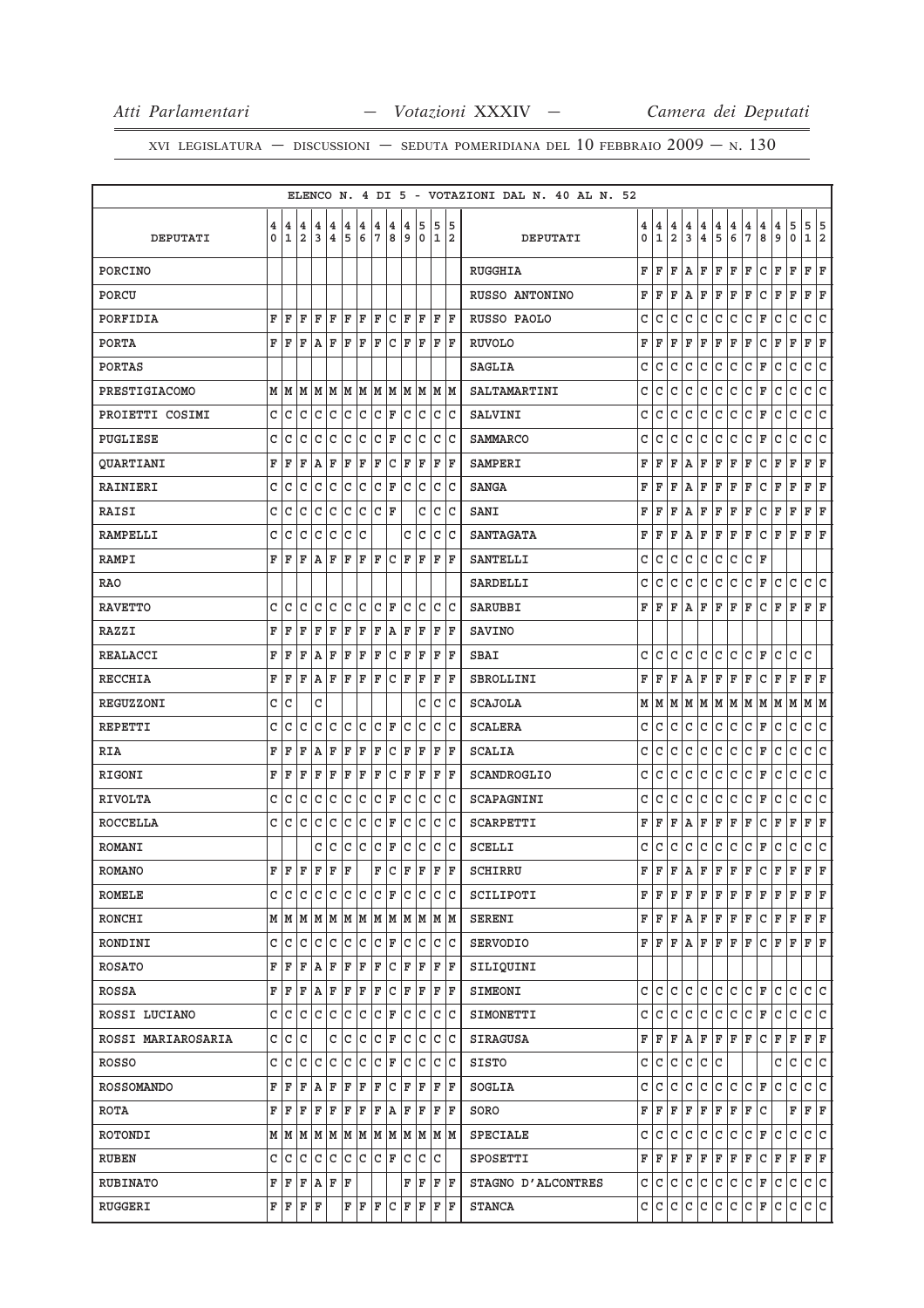|                    |      |              |                         |                                                                       |                         |                |                         |              |                    |     |                                                                         |    |       | ELENCO N. 4 DI 5 - VOTAZIONI DAL N. 40 AL N. 52 |   |     |                |              |                         |               |                                       |                                       |                                       |                                       |                                       |                                       |                         |
|--------------------|------|--------------|-------------------------|-----------------------------------------------------------------------|-------------------------|----------------|-------------------------|--------------|--------------------|-----|-------------------------------------------------------------------------|----|-------|-------------------------------------------------|---|-----|----------------|--------------|-------------------------|---------------|---------------------------------------|---------------------------------------|---------------------------------------|---------------------------------------|---------------------------------------|---------------------------------------|-------------------------|
|                    | 4    | 4            | $\overline{\mathbf{4}}$ | 4                                                                     | $\overline{\bf 4}$      | 4              | $\overline{\mathbf{4}}$ | 4            | $\overline{\bf 4}$ | 4   | 5                                                                       | 5  | 15    |                                                 | 4 | 4   | 4              | 4            | $\overline{\mathbf{4}}$ |               |                                       |                                       |                                       |                                       |                                       |                                       |                         |
| DEPUTATI           | 0    | $1\vert2$    |                         | lз                                                                    | $\overline{\mathbf{4}}$ | 5              | 6                       | 7            | 8                  | و   | 0                                                                       |    | 1 2   | DEPUTATI                                        | 0 | ۱ı. | $\overline{2}$ | 3            | $\overline{\mathbf{4}}$ | $\frac{4}{5}$ | $\begin{array}{c} 4 \\ 6 \end{array}$ | $\begin{array}{c} 4 \\ 7 \end{array}$ | $\begin{array}{c} 4 \\ 8 \end{array}$ | $\begin{array}{c} 4 \\ 9 \end{array}$ | $\begin{array}{c} 5 \\ 0 \end{array}$ | $\begin{array}{c} 5 \\ 1 \end{array}$ | $\frac{5}{2}$           |
| PORCINO            |      |              |                         |                                                                       |                         |                |                         |              |                    |     |                                                                         |    |       | RUGGHIA                                         | F | F   | F              | A            | F                       | $\mathbf F$   | F                                     | F                                     | $\mathtt{C}$                          | F                                     | $\mathbf F$                           | F                                     | $\mathbb F$             |
| PORCU              |      |              |                         |                                                                       |                         |                |                         |              |                    |     |                                                                         |    |       | RUSSO ANTONINO                                  | F | F   | F              | Α            | F                       | F             | F                                     | F                                     | lc.                                   | F                                     | F                                     | F                                     | F                       |
| PORFIDIA           | F    | ΙF           | F                       | F                                                                     | F                       | ΙF             | ΙF                      | F            | C                  | F   | ΙF                                                                      | F  | ١F    | RUSSO PAOLO                                     | C | C   | C              | C            | C                       | C             | C                                     | C                                     | F                                     | C                                     | C                                     | C                                     | C                       |
| <b>PORTA</b>       | F    | ΙF           | lF.                     | AF                                                                    |                         | F              | F                       | F            | $ C $ F            |     | F                                                                       |    | F  F  | <b>RUVOLO</b>                                   | F | F   | F              | $\mathbf F$  | F                       | $\mathbf F$   | F                                     | F                                     | c                                     | F                                     | $\mathbf F$                           | F                                     | F                       |
| <b>PORTAS</b>      |      |              |                         |                                                                       |                         |                |                         |              |                    |     |                                                                         |    |       | <b>SAGLIA</b>                                   | C | C   | C              | $\mathtt{C}$ | C                       | $\mathtt{C}$  | l C                                   | $\mathtt{C}$                          | F                                     | C                                     | C                                     | C                                     | C                       |
| PRESTIGIACOMO      |      | M   M   M    |                         | M   M   M   M   M   M   M   M   M                                     |                         |                |                         |              |                    |     |                                                                         |    |       | SALTAMARTINI                                    | C | C   | C              | C            | C                       | $\mathtt{C}$  | c                                     | $\mathtt{C}$                          | F                                     | C                                     | C                                     | $\mathtt{C}$                          | $\vert$ C               |
| PROIETTI COSIMI    | C    | c            | $\mathtt{C}$            | c.                                                                    | c                       | $\overline{c}$ | c                       | $ c $ F      |                    |     | c c                                                                     |    | c c   | <b>SALVINI</b>                                  | C | C   | $\mathsf{C}$   | $\mathtt{C}$ | $\mathtt{C}$            | $\mathtt{C}$  | c                                     | $\mathtt{C}$                          | $\mathbb F$                           | C                                     | $\mathtt{C}$                          | $\mathtt{C}$                          | $\vert$ C               |
| PUGLIESE           | C    | C            | C                       | lc                                                                    | $\mathtt{C}$            | c              | lc                      | $ c $ F      |                    | lc. | lc.                                                                     |    | c c   | <b>SAMMARCO</b>                                 | C | C   | $\mathbf C$    | C            | $\mathsf{C}$            | $\mathtt{C}$  | c                                     | C                                     | F                                     | C                                     | $\mathtt{C}$                          | $\mathsf{C}$                          | C                       |
| <b>QUARTIANI</b>   | F    | ΙF           | F                       | AF                                                                    |                         | F              | F                       | F            | C F                |     | ΙF                                                                      |    | F  F  | <b>SAMPERI</b>                                  | F | F   | F              | A            | F                       | F             | F                                     | F                                     | C                                     | F                                     | F                                     | $\mathbf F$                           | F                       |
| RAINIERI           | C    | C            | $\mathtt{C}$            | lc.                                                                   | lc.                     | c c            |                         | $ C $ F      |                    |     | c c                                                                     |    | c c   | <b>SANGA</b>                                    | F | F   | F              | Α            | F                       | F             | F                                     | F                                     | С                                     | F                                     | F                                     | F                                     | F                       |
| RAISI              | C    | C            | lc.                     | c c                                                                   |                         | c c            |                         | $ C $ F      |                    |     | С                                                                       |    | c c   | SANI                                            | F | F   | F              | Α            | F                       | F             | F                                     | F                                     | С                                     | F                                     | F                                     | F                                     | F                       |
| <b>RAMPELLI</b>    | C    | C            | C                       | lc.                                                                   | c                       | c              | lc                      |              |                    | C   | lc.                                                                     |    | lc lc | <b>SANTAGATA</b>                                | F | F   | F              | Α            | F                       | F             | F                                     | F                                     | С                                     | F                                     | F                                     | F                                     | F                       |
| <b>RAMPI</b>       | F    | ΙF           | ΙF                      | AF                                                                    |                         | F              | ΙF                      | lF.          | C F                |     | ١F                                                                      |    | F   F | <b>SANTELLI</b>                                 | C | C   | $\mathtt{C}$   | $\mathtt{C}$ | C                       | $\mathtt{C}$  | c                                     | $\mathtt{C}$                          | F                                     |                                       |                                       |                                       |                         |
| <b>RAO</b>         |      |              |                         |                                                                       |                         |                |                         |              |                    |     |                                                                         |    |       | <b>SARDELLI</b>                                 | C | C   | $\mathtt{C}$   | $\mathtt{C}$ | $\mathsf{C}$            | $\mathtt{C}$  | c                                     | $\mathtt{C}$                          | F                                     | lc                                    | $\mathtt{C}$                          | $\mathtt{C}$                          | $\overline{c}$          |
| <b>RAVETTO</b>     | c    | C            | C                       | C                                                                     | l c                     | lc.            | lc.                     | CF           |                    | C   | lc.                                                                     |    | lc Ic | SARUBBI                                         | F | F   | F              | Α            | F                       | F             | F                                     | F                                     | C                                     | F                                     | F                                     | F                                     | F                       |
| <b>RAZZI</b>       | F    | ΙF           | F                       | F                                                                     | F                       | F              | F                       | F            | A                  | ΙF  | F                                                                       | ΙF | ΙF    | <b>SAVINO</b>                                   |   |     |                |              |                         |               |                                       |                                       |                                       |                                       |                                       |                                       |                         |
| REALACCI           | F    | l F          | $\mathbf F$             | A                                                                     | F                       | F              | F                       | F            | lc.                | ΙF  | F                                                                       | ΙF | ١F    | SBAI                                            | C | C   | C              | C            | C                       | C             | C                                     | l c                                   | F                                     | C                                     | $\mathtt{C}$                          | C                                     |                         |
| <b>RECCHIA</b>     | F    | F            | F                       | A F                                                                   |                         | F              | F                       | F            | $ c _{\mathbb{F}}$ |     | F                                                                       |    | F F   | SBROLLINI                                       | F | F   | F              | Α            | F                       | $\mathbf F$   | F                                     | F                                     | l C                                   | F                                     | F                                     | F                                     | F                       |
| REGUZZONI          | C    | c            |                         | C                                                                     |                         |                |                         |              |                    |     | C                                                                       |    | lc lc | <b>SCAJOLA</b>                                  | М | M   | M              | M            | M                       |               | MM                                    | lм                                    | M                                     | M                                     | M                                     | MM                                    |                         |
| REPETTI            | C    | $\mathsf{C}$ | C                       | C                                                                     | lc                      | c c            |                         | $ c _F$      |                    | lc. | lc.                                                                     |    | lc lc | <b>SCALERA</b>                                  | C | c   | c              | $\mathtt{C}$ | c                       | $\mathtt{C}$  | c                                     | c                                     | F                                     | c                                     | $\mathtt{C}$                          | $\mathtt{C}$                          | $\vert$ C               |
| <b>RIA</b>         | F    | F            | F                       | AF                                                                    |                         | F              | ΙF                      | F            | c                  | F   | ΙF                                                                      | F  | ΙF    | <b>SCALIA</b>                                   | C | C   | C              | C            | c                       | C             | c                                     | c                                     | $\mathbb F$                           | C                                     | $\mathtt{C}$                          | $\mathtt{C}$                          | $\vert$ C               |
| <b>RIGONI</b>      | F    | ΙF           | F                       | ΙF                                                                    | ΙF                      | F              | ΙF                      | F            | $ C $ F            |     | F                                                                       | ΙF | ΙF    | SCANDROGLIO                                     | C | C   | C              | $\mathtt{C}$ | C                       | $\mathtt{C}$  | lc.                                   | l c                                   | F                                     | C                                     | C                                     | C                                     | c                       |
| <b>RIVOLTA</b>     | C    | l c          | C                       | c c                                                                   |                         | c              | c                       | $ C $ F      |                    |     | c c                                                                     |    | c c   | SCAPAGNINI                                      | C | C   | $\mathtt{C}$   | $\mathtt{C}$ | lc.                     | $\mathtt{C}$  | lc.                                   | $\mathtt{C}$                          | F                                     | C                                     | C                                     | C                                     | C                       |
| <b>ROCCELLA</b>    | c Ic |              | C                       | lc                                                                    | lc.                     | lc.            | c                       | $ c _F$      |                    | C   | lc.                                                                     |    | c c   | SCARPETTI                                       | F | F   | F              | Α            | F                       | $\mathbf F$   | F                                     | F                                     | C                                     | F                                     | $\mathbf F$                           | $\mathbf F$                           | F                       |
| <b>ROMANI</b>      |      |              |                         | c                                                                     | lc                      | lc.            | lc.                     | $ c $ F      |                    |     | c c                                                                     |    | c c   | SCELLI                                          | C | C   | C              | $\mathtt{C}$ | C                       | $\mathtt{C}$  | l C                                   | c                                     | F                                     | C                                     | $\mathtt{C}$                          | C                                     | $\overline{\mathsf{c}}$ |
| <b>ROMANO</b>      | FF   |              | l F                     | $\mathbf{F}$                                                          | le le                   |                |                         | $\mathbf{F}$ |                    |     | C F F                                                                   |    | F  F  | SCHIRRU                                         | F | F   | F              | $\, {\bf A}$ | F                       | $\mathbb F$   | F                                     | F                                     | c                                     | F                                     | $\mathbf F$                           | F                                     | l F                     |
| ROMELE             |      |              |                         |                                                                       |                         |                |                         |              |                    |     |                                                                         |    |       | SCILIPOTI                                       | F | F   | F              | F            | F                       | F             | F                                     | F                                     | F                                     | F                                     | F                                     | F                                     | F                       |
| RONCHI             |      |              |                         |                                                                       |                         |                |                         |              |                    |     |                                                                         |    |       | SERENI                                          | F | F   | F              | A F          |                         | F             | F                                     | F                                     | C                                     | F                                     | $\mathbf F$                           | F F                                   |                         |
| RONDINI            |      | c Ic         |                         |                                                                       |                         |                |                         |              |                    |     |                                                                         |    |       | SERVODIO                                        | F | lF. | F              | Α            | F                       | F             | F                                     | F                                     | c                                     | ΙF                                    | F                                     | F                                     | lF.                     |
| <b>ROSATO</b>      |      |              |                         | F F F A F F F F C F F F F F                                           |                         |                |                         |              |                    |     |                                                                         |    |       | SILIQUINI                                       |   |     |                |              |                         |               |                                       |                                       |                                       |                                       |                                       |                                       |                         |
| ROSSA              |      |              |                         | F F F A F F F F C F F F F F                                           |                         |                |                         |              |                    |     |                                                                         |    |       | SIMEONI                                         | c | C   | C              | C            | C                       | C             | C                                     | C                                     | F                                     | C                                     | C                                     | C                                     | C                       |
| ROSSI LUCIANO      | c  c |              | lc.                     | c c                                                                   |                         | c              | c                       | $ C $ F      |                    |     | c c                                                                     |    | c c   | SIMONETTI                                       | C | C   | C              | C            | c                       | C             | l C                                   | c                                     | F                                     | C                                     | С                                     | С                                     | lc.                     |
| ROSSI MARIAROSARIA |      | c c          | c                       |                                                                       | c c                     |                | c                       | $ C $ F      |                    |     | c c                                                                     |    | c c   | <b>SIRAGUSA</b>                                 | F | F   | F              | Α            | F                       | $\mathbf F$   | F                                     | F                                     | C                                     | F                                     | F                                     | F                                     | F                       |
| ROSSO              | c c  |              | lc.                     | lc.                                                                   | lc.                     | c c            |                         | $ c $ F      |                    |     | c c                                                                     |    | c c   | SISTO                                           | C | c   | lc.            | $\mathtt{C}$ | c                       | C             |                                       |                                       |                                       | C                                     | $\mathtt{C}$                          | c.                                    | c                       |
| <b>ROSSOMANDO</b>  | FF   |              | F                       | AF                                                                    |                         | F F            |                         | F            |                    |     | C F F                                                                   |    | F F   | SOGLIA                                          | C | C   | C              | C            | C                       | C             | C                                     | C                                     | ΙF                                    | С                                     | С                                     | c                                     | c                       |
| ROTA               | F    | ΙF           | F                       | F                                                                     | F                       | F              | F                       | F            | ΙA                 | ΙF  | F                                                                       |    | F  F  | SORO                                            | F | F   | F              | F            | F                       | F             | F                                     | F                                     | C                                     |                                       | F                                     | F                                     | F                       |
| ROTONDI            |      |              |                         | $M$   $M$   $M$   $M$   $M$   $M$   $M$   $M$   $M$   $M$   $M$   $M$ |                         |                |                         |              |                    |     |                                                                         |    |       | SPECIALE                                        | C | C   | C              | C            | l C                     | C             | lc.                                   | с                                     | F                                     | lc.                                   | $\mathtt{C}$                          | c c                                   |                         |
| RUBEN              |      | c  c         |                         | C C C C C F C C C                                                     |                         |                |                         |              |                    |     |                                                                         |    |       | SPOSETTI                                        | F | F   | F              | F            | F                       | F             | F                                     | F                                     | с                                     | F                                     | F                                     | F                                     | F                       |
| RUBINATO           |      |              |                         | F F F A F F                                                           |                         |                |                         |              |                    |     | FF                                                                      |    | F F   | STAGNO D'ALCONTRES                              | C | l C | c              | C            | l C                     | $\mathtt{C}$  | c.                                    | c                                     | F                                     | lc.                                   | C                                     | c c                                   |                         |
| <b>RUGGERI</b>     |      |              | F F F F                 |                                                                       |                         |                |                         |              |                    |     | $\bf{F}$ $\bf{F}$ $\bf{F}$ $\bf{C}$ $\bf{F}$ $\bf{F}$ $\bf{F}$ $\bf{F}$ |    |       | <b>STANCA</b>                                   | C | c   | l C            | $\mathtt{C}$ | c                       | $\mathtt{C}$  | c                                     | c                                     | F                                     | c                                     | $\mathtt{C}$                          | c c                                   |                         |